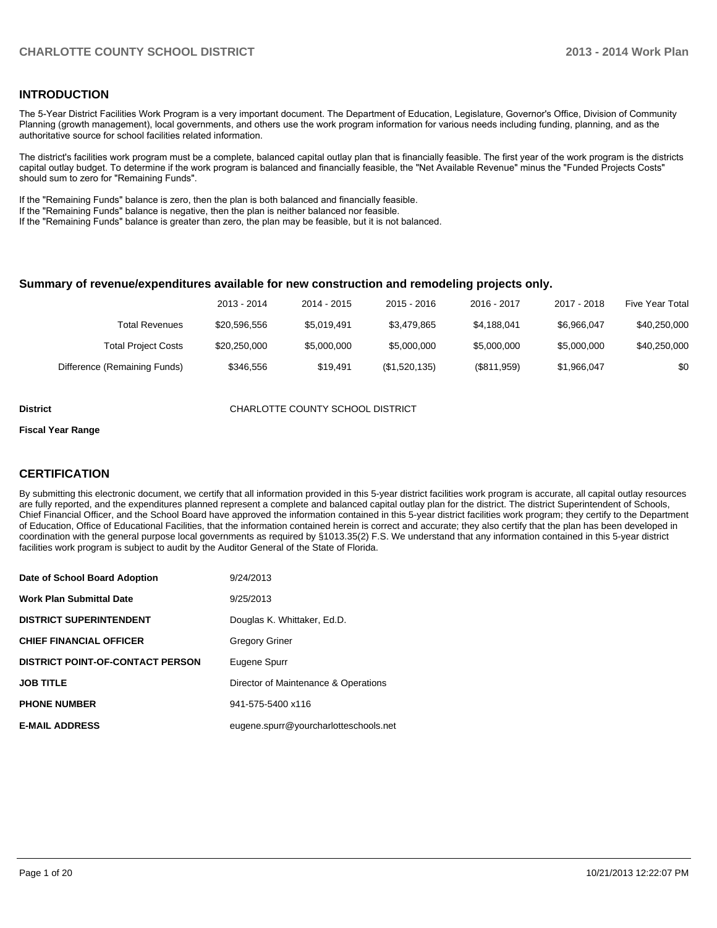#### **INTRODUCTION**

The 5-Year District Facilities Work Program is a very important document. The Department of Education, Legislature, Governor's Office, Division of Community Planning (growth management), local governments, and others use the work program information for various needs including funding, planning, and as the authoritative source for school facilities related information.

The district's facilities work program must be a complete, balanced capital outlay plan that is financially feasible. The first year of the work program is the districts capital outlay budget. To determine if the work program is balanced and financially feasible, the "Net Available Revenue" minus the "Funded Projects Costs" should sum to zero for "Remaining Funds".

If the "Remaining Funds" balance is zero, then the plan is both balanced and financially feasible.

If the "Remaining Funds" balance is negative, then the plan is neither balanced nor feasible.

If the "Remaining Funds" balance is greater than zero, the plan may be feasible, but it is not balanced.

#### **Summary of revenue/expenditures available for new construction and remodeling projects only.**

| <b>Five Year Total</b> | 2017 - 2018 | 2016 - 2017 | 2015 - 2016   | 2014 - 2015 | 2013 - 2014  |                              |
|------------------------|-------------|-------------|---------------|-------------|--------------|------------------------------|
| \$40,250,000           | \$6.966.047 | \$4.188.041 | \$3.479.865   | \$5.019.491 | \$20,596,556 | Total Revenues               |
| \$40,250,000           | \$5,000,000 | \$5,000,000 | \$5,000,000   | \$5,000,000 | \$20,250,000 | <b>Total Project Costs</b>   |
| \$0                    | \$1,966,047 | (\$811,959) | (\$1,520,135) | \$19.491    | \$346,556    | Difference (Remaining Funds) |

**District CHARLOTTE COUNTY SCHOOL DISTRICT** 

#### **Fiscal Year Range**

### **CERTIFICATION**

By submitting this electronic document, we certify that all information provided in this 5-year district facilities work program is accurate, all capital outlay resources are fully reported, and the expenditures planned represent a complete and balanced capital outlay plan for the district. The district Superintendent of Schools, Chief Financial Officer, and the School Board have approved the information contained in this 5-year district facilities work program; they certify to the Department of Education, Office of Educational Facilities, that the information contained herein is correct and accurate; they also certify that the plan has been developed in coordination with the general purpose local governments as required by §1013.35(2) F.S. We understand that any information contained in this 5-year district facilities work program is subject to audit by the Auditor General of the State of Florida.

| Date of School Board Adoption           | 9/24/2013                             |
|-----------------------------------------|---------------------------------------|
| <b>Work Plan Submittal Date</b>         | 9/25/2013                             |
| <b>DISTRICT SUPERINTENDENT</b>          | Douglas K. Whittaker, Ed.D.           |
| <b>CHIEF FINANCIAL OFFICER</b>          | <b>Gregory Griner</b>                 |
| <b>DISTRICT POINT-OF-CONTACT PERSON</b> | Eugene Spurr                          |
| <b>JOB TITLE</b>                        | Director of Maintenance & Operations  |
| <b>PHONE NUMBER</b>                     | 941-575-5400 x116                     |
| <b>E-MAIL ADDRESS</b>                   | eugene.spurr@yourcharlotteschools.net |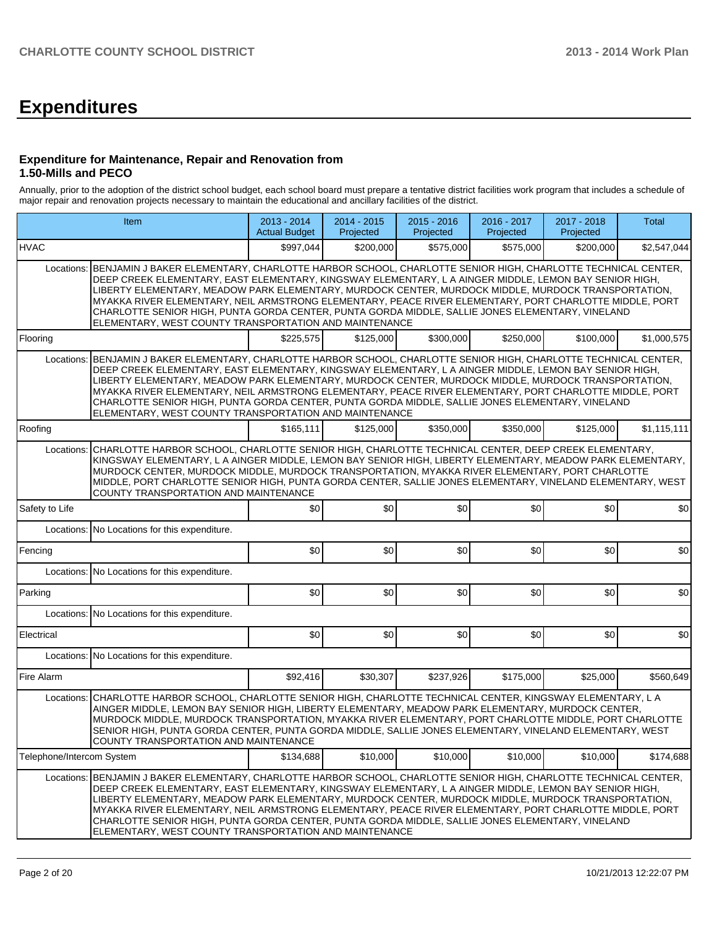# **Expenditures**

#### **Expenditure for Maintenance, Repair and Renovation from 1.50-Mills and PECO**

Annually, prior to the adoption of the district school budget, each school board must prepare a tentative district facilities work program that includes a schedule of major repair and renovation projects necessary to maintain the educational and ancillary facilities of the district.

|                           | Item                                                                                                                                                                                                                                                                                                                                                                                                                                                                                                                                                                                                          | 2013 - 2014<br><b>Actual Budget</b> | 2014 - 2015<br>Projected | 2015 - 2016<br>Projected | 2016 - 2017<br>Projected | 2017 - 2018<br>Projected | Total       |  |  |  |
|---------------------------|---------------------------------------------------------------------------------------------------------------------------------------------------------------------------------------------------------------------------------------------------------------------------------------------------------------------------------------------------------------------------------------------------------------------------------------------------------------------------------------------------------------------------------------------------------------------------------------------------------------|-------------------------------------|--------------------------|--------------------------|--------------------------|--------------------------|-------------|--|--|--|
| <b>HVAC</b>               |                                                                                                                                                                                                                                                                                                                                                                                                                                                                                                                                                                                                               | \$997,044                           | \$200,000                | \$575,000                | \$575,000                | \$200,000                | \$2,547,044 |  |  |  |
| Locations:                | BENJAMIN J BAKER ELEMENTARY, CHARLOTTE HARBOR SCHOOL, CHARLOTTE SENIOR HIGH, CHARLOTTE TECHNICAL CENTER,<br>DEEP CREEK ELEMENTARY, EAST ELEMENTARY, KINGSWAY ELEMENTARY, L A AINGER MIDDLE, LEMON BAY SENIOR HIGH,<br>LIBERTY ELEMENTARY, MEADOW PARK ELEMENTARY, MURDOCK CENTER, MURDOCK MIDDLE, MURDOCK TRANSPORTATION.<br>MYAKKA RIVER ELEMENTARY, NEIL ARMSTRONG ELEMENTARY, PEACE RIVER ELEMENTARY, PORT CHARLOTTE MIDDLE, PORT<br>CHARLOTTE SENIOR HIGH, PUNTA GORDA CENTER, PUNTA GORDA MIDDLE, SALLIE JONES ELEMENTARY, VINELAND<br>ELEMENTARY, WEST COUNTY TRANSPORTATION AND MAINTENANCE            |                                     |                          |                          |                          |                          |             |  |  |  |
| Flooring                  |                                                                                                                                                                                                                                                                                                                                                                                                                                                                                                                                                                                                               | \$225,575                           | \$125,000                | \$300,000                | \$250,000                | \$100,000                | \$1,000,575 |  |  |  |
| Locations:                | BENJAMIN J BAKER ELEMENTARY, CHARLOTTE HARBOR SCHOOL, CHARLOTTE SENIOR HIGH, CHARLOTTE TECHNICAL CENTER,<br>DEEP CREEK ELEMENTARY, EAST ELEMENTARY, KINGSWAY ELEMENTARY, L A AINGER MIDDLE, LEMON BAY SENIOR HIGH,<br>LIBERTY ELEMENTARY, MEADOW PARK ELEMENTARY, MURDOCK CENTER, MURDOCK MIDDLE, MURDOCK TRANSPORTATION,<br>MYAKKA RIVER ELEMENTARY, NEIL ARMSTRONG ELEMENTARY, PEACE RIVER ELEMENTARY, PORT CHARLOTTE MIDDLE, PORT<br>CHARLOTTE SENIOR HIGH, PUNTA GORDA CENTER, PUNTA GORDA MIDDLE, SALLIE JONES ELEMENTARY, VINELAND<br>ELEMENTARY, WEST COUNTY TRANSPORTATION AND MAINTENANCE            |                                     |                          |                          |                          |                          |             |  |  |  |
| Roofing                   |                                                                                                                                                                                                                                                                                                                                                                                                                                                                                                                                                                                                               | \$165,111                           | \$125,000                | \$350,000                | \$350,000                | \$125,000                | \$1,115,111 |  |  |  |
| Locations:                | CHARLOTTE HARBOR SCHOOL, CHARLOTTE SENIOR HIGH, CHARLOTTE TECHNICAL CENTER, DEEP CREEK ELEMENTARY,<br>KINGSWAY ELEMENTARY, L A AINGER MIDDLE, LEMON BAY SENIOR HIGH, LIBERTY ELEMENTARY, MEADOW PARK ELEMENTARY,<br>MURDOCK CENTER, MURDOCK MIDDLE, MURDOCK TRANSPORTATION, MYAKKA RIVER ELEMENTARY, PORT CHARLOTTE<br>MIDDLE, PORT CHARLOTTE SENIOR HIGH, PUNTA GORDA CENTER, SALLIE JONES ELEMENTARY, VINELAND ELEMENTARY, WEST<br><b>COUNTY TRANSPORTATION AND MAINTENANCE</b>                                                                                                                             |                                     |                          |                          |                          |                          |             |  |  |  |
| Safety to Life            |                                                                                                                                                                                                                                                                                                                                                                                                                                                                                                                                                                                                               | \$0                                 | \$0                      | \$0                      | \$0                      | \$0                      | \$0         |  |  |  |
|                           | Locations: No Locations for this expenditure.                                                                                                                                                                                                                                                                                                                                                                                                                                                                                                                                                                 |                                     |                          |                          |                          |                          |             |  |  |  |
| Fencing                   |                                                                                                                                                                                                                                                                                                                                                                                                                                                                                                                                                                                                               | \$0                                 | \$0                      | \$0                      | \$0                      | \$0                      | \$0         |  |  |  |
|                           | Locations: No Locations for this expenditure.                                                                                                                                                                                                                                                                                                                                                                                                                                                                                                                                                                 |                                     |                          |                          |                          |                          |             |  |  |  |
| Parking                   |                                                                                                                                                                                                                                                                                                                                                                                                                                                                                                                                                                                                               | \$0                                 | \$0                      | \$0                      | \$0                      | \$0                      | \$0         |  |  |  |
|                           | Locations: No Locations for this expenditure.                                                                                                                                                                                                                                                                                                                                                                                                                                                                                                                                                                 |                                     |                          |                          |                          |                          |             |  |  |  |
| Electrical                |                                                                                                                                                                                                                                                                                                                                                                                                                                                                                                                                                                                                               | \$0                                 | \$0                      | \$0                      | \$0                      | \$0                      | \$0         |  |  |  |
|                           | Locations: No Locations for this expenditure.                                                                                                                                                                                                                                                                                                                                                                                                                                                                                                                                                                 |                                     |                          |                          |                          |                          |             |  |  |  |
| Fire Alarm                |                                                                                                                                                                                                                                                                                                                                                                                                                                                                                                                                                                                                               | \$92,416                            | \$30,307                 | \$237,926                | \$175,000                | \$25,000                 | \$560,649   |  |  |  |
| Locations:                | CHARLOTTE HARBOR SCHOOL, CHARLOTTE SENIOR HIGH, CHARLOTTE TECHNICAL CENTER, KINGSWAY ELEMENTARY, L A<br>AINGER MIDDLE, LEMON BAY SENIOR HIGH, LIBERTY ELEMENTARY, MEADOW PARK ELEMENTARY, MURDOCK CENTER,<br>MURDOCK MIDDLE, MURDOCK TRANSPORTATION, MYAKKA RIVER ELEMENTARY, PORT CHARLOTTE MIDDLE, PORT CHARLOTTE<br>SENIOR HIGH, PUNTA GORDA CENTER, PUNTA GORDA MIDDLE, SALLIE JONES ELEMENTARY, VINELAND ELEMENTARY, WEST<br>COUNTY TRANSPORTATION AND MAINTENANCE                                                                                                                                       |                                     |                          |                          |                          |                          |             |  |  |  |
| Telephone/Intercom System |                                                                                                                                                                                                                                                                                                                                                                                                                                                                                                                                                                                                               | \$134,688                           | \$10,000                 | \$10,000                 | \$10,000                 | \$10,000                 | \$174.688   |  |  |  |
|                           | Locations: BENJAMIN J BAKER ELEMENTARY, CHARLOTTE HARBOR SCHOOL, CHARLOTTE SENIOR HIGH, CHARLOTTE TECHNICAL CENTER,<br>DEEP CREEK ELEMENTARY, EAST ELEMENTARY, KINGSWAY ELEMENTARY, L A AINGER MIDDLE, LEMON BAY SENIOR HIGH,<br>LIBERTY ELEMENTARY, MEADOW PARK ELEMENTARY, MURDOCK CENTER, MURDOCK MIDDLE, MURDOCK TRANSPORTATION,<br>MYAKKA RIVER ELEMENTARY, NEIL ARMSTRONG ELEMENTARY, PEACE RIVER ELEMENTARY, PORT CHARLOTTE MIDDLE, PORT<br>CHARLOTTE SENIOR HIGH, PUNTA GORDA CENTER, PUNTA GORDA MIDDLE, SALLIE JONES ELEMENTARY, VINELAND<br>ELEMENTARY, WEST COUNTY TRANSPORTATION AND MAINTENANCE |                                     |                          |                          |                          |                          |             |  |  |  |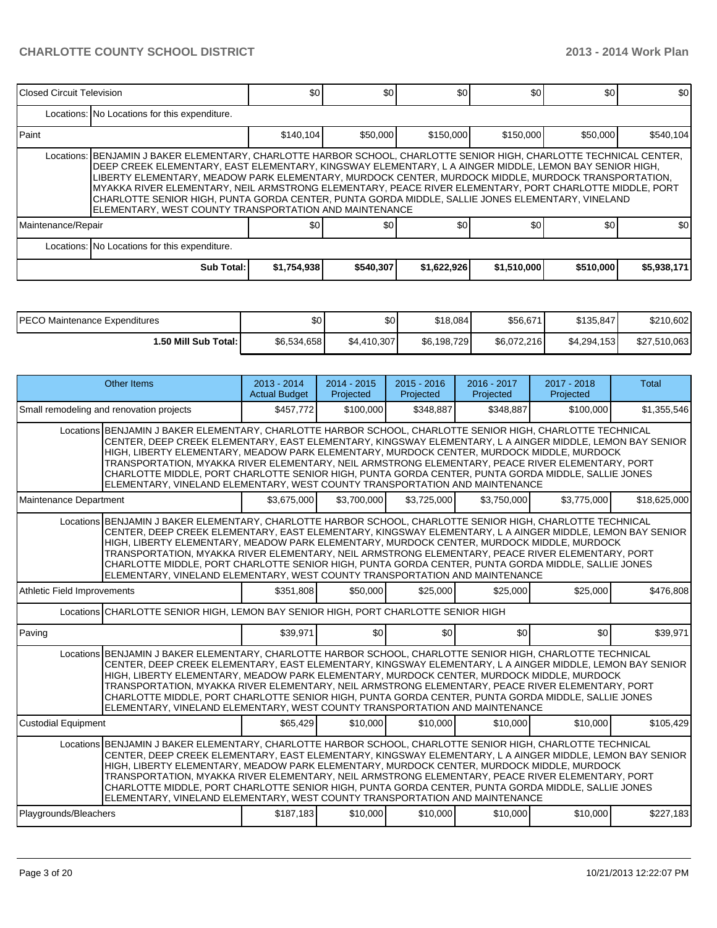| Closed Circuit Television |                                                                                                                                                                                                                                                                                                                                                                                                                                                                                                                                                                                                               | \$0         | \$0 <sub>0</sub> | \$0         | \$0         | \$0       | \$0         |  |  |  |  |
|---------------------------|---------------------------------------------------------------------------------------------------------------------------------------------------------------------------------------------------------------------------------------------------------------------------------------------------------------------------------------------------------------------------------------------------------------------------------------------------------------------------------------------------------------------------------------------------------------------------------------------------------------|-------------|------------------|-------------|-------------|-----------|-------------|--|--|--|--|
|                           | Locations: No Locations for this expenditure.                                                                                                                                                                                                                                                                                                                                                                                                                                                                                                                                                                 |             |                  |             |             |           |             |  |  |  |  |
| l Paint                   |                                                                                                                                                                                                                                                                                                                                                                                                                                                                                                                                                                                                               | \$140,104   | \$50,000         | \$150,000   | \$150,000   | \$50,000  | \$540,104   |  |  |  |  |
|                           | Locations: BENJAMIN J BAKER ELEMENTARY, CHARLOTTE HARBOR SCHOOL, CHARLOTTE SENIOR HIGH, CHARLOTTE TECHNICAL CENTER,<br>DEEP CREEK ELEMENTARY, EAST ELEMENTARY, KINGSWAY ELEMENTARY, L A AINGER MIDDLE, LEMON BAY SENIOR HIGH,<br>LIBERTY ELEMENTARY. MEADOW PARK ELEMENTARY. MURDOCK CENTER. MURDOCK MIDDLE. MURDOCK TRANSPORTATION.<br>MYAKKA RIVER ELEMENTARY, NEIL ARMSTRONG ELEMENTARY, PEACE RIVER ELEMENTARY, PORT CHARLOTTE MIDDLE, PORT<br>CHARLOTTE SENIOR HIGH, PUNTA GORDA CENTER, PUNTA GORDA MIDDLE, SALLIE JONES ELEMENTARY, VINELAND<br>ELEMENTARY, WEST COUNTY TRANSPORTATION AND MAINTENANCE |             |                  |             |             |           |             |  |  |  |  |
| Maintenance/Repair        |                                                                                                                                                                                                                                                                                                                                                                                                                                                                                                                                                                                                               | \$0         | \$0              | \$0         | \$0         | \$0       | \$0         |  |  |  |  |
|                           | Locations: No Locations for this expenditure.                                                                                                                                                                                                                                                                                                                                                                                                                                                                                                                                                                 |             |                  |             |             |           |             |  |  |  |  |
|                           | Sub Total:                                                                                                                                                                                                                                                                                                                                                                                                                                                                                                                                                                                                    | \$1,754,938 | \$540,307        | \$1,622,926 | \$1,510,000 | \$510,000 | \$5,938,171 |  |  |  |  |

| IPECO Maintenance Expenditures | \$0         | \$0         | \$18,084    | \$56,671    | \$135,847   | \$210,602    |
|--------------------------------|-------------|-------------|-------------|-------------|-------------|--------------|
| <b>1.50 Mill Sub Total: I</b>  | \$6,534,658 | \$4,410,307 | \$6,198,729 | \$6,072,216 | \$4,294,153 | \$27,510,063 |

|                                          | Other Items                                                                                                                                                                                                                                                                                                                                                                                                                                                                                                                                                                                                  | $2013 - 2014$<br><b>Actual Budget</b> | $2014 - 2015$<br>Projected | $2015 - 2016$<br>Projected | $2016 - 2017$<br>Projected | 2017 - 2018<br>Projected | <b>Total</b> |  |  |
|------------------------------------------|--------------------------------------------------------------------------------------------------------------------------------------------------------------------------------------------------------------------------------------------------------------------------------------------------------------------------------------------------------------------------------------------------------------------------------------------------------------------------------------------------------------------------------------------------------------------------------------------------------------|---------------------------------------|----------------------------|----------------------------|----------------------------|--------------------------|--------------|--|--|
| Small remodeling and renovation projects |                                                                                                                                                                                                                                                                                                                                                                                                                                                                                                                                                                                                              | \$457,772                             | \$100,000                  | \$348,887                  | \$348,887                  | \$100,000                | \$1,355,546  |  |  |
|                                          | Locations BENJAMIN J BAKER ELEMENTARY, CHARLOTTE HARBOR SCHOOL, CHARLOTTE SENIOR HIGH, CHARLOTTE TECHNICAL<br>CENTER, DEEP CREEK ELEMENTARY, EAST ELEMENTARY, KINGSWAY ELEMENTARY, L A AINGER MIDDLE, LEMON BAY SENIOR<br>HIGH, LIBERTY ELEMENTARY, MEADOW PARK ELEMENTARY, MURDOCK CENTER, MURDOCK MIDDLE, MURDOCK<br>TRANSPORTATION, MYAKKA RIVER ELEMENTARY, NEIL ARMSTRONG ELEMENTARY, PEACE RIVER ELEMENTARY, PORT<br>CHARLOTTE MIDDLE, PORT CHARLOTTE SENIOR HIGH, PUNTA GORDA CENTER, PUNTA GORDA MIDDLE, SALLIE JONES<br>ELEMENTARY, VINELAND ELEMENTARY, WEST COUNTY TRANSPORTATION AND MAINTENANCE |                                       |                            |                            |                            |                          |              |  |  |
| Maintenance Department                   |                                                                                                                                                                                                                                                                                                                                                                                                                                                                                                                                                                                                              | \$3,675,000                           | \$3,700,000                | \$3,725,000                | \$3.750.000                | \$3,775,000              | \$18,625,000 |  |  |
|                                          | Locations BENJAMIN J BAKER ELEMENTARY, CHARLOTTE HARBOR SCHOOL, CHARLOTTE SENIOR HIGH, CHARLOTTE TECHNICAL<br>CENTER, DEEP CREEK ELEMENTARY, EAST ELEMENTARY, KINGSWAY ELEMENTARY, L A AINGER MIDDLE, LEMON BAY SENIOR<br>HIGH, LIBERTY ELEMENTARY, MEADOW PARK ELEMENTARY, MURDOCK CENTER, MURDOCK MIDDLE, MURDOCK<br>TRANSPORTATION, MYAKKA RIVER ELEMENTARY, NEIL ARMSTRONG ELEMENTARY, PEACE RIVER ELEMENTARY, PORT<br>CHARLOTTE MIDDLE, PORT CHARLOTTE SENIOR HIGH, PUNTA GORDA CENTER, PUNTA GORDA MIDDLE, SALLIE JONES<br>ELEMENTARY, VINELAND ELEMENTARY, WEST COUNTY TRANSPORTATION AND MAINTENANCE |                                       |                            |                            |                            |                          |              |  |  |
| Athletic Field Improvements              |                                                                                                                                                                                                                                                                                                                                                                                                                                                                                                                                                                                                              | \$351,808                             | \$50,000                   | \$25,000                   | \$25,000                   | \$25,000                 | \$476.808    |  |  |
|                                          | Locations CHARLOTTE SENIOR HIGH, LEMON BAY SENIOR HIGH, PORT CHARLOTTE SENIOR HIGH                                                                                                                                                                                                                                                                                                                                                                                                                                                                                                                           |                                       |                            |                            |                            |                          |              |  |  |
| Paving                                   |                                                                                                                                                                                                                                                                                                                                                                                                                                                                                                                                                                                                              | \$39.971                              | \$0                        | \$0                        | \$0                        | \$0                      | \$39,971     |  |  |
|                                          | Locations BENJAMIN J BAKER ELEMENTARY, CHARLOTTE HARBOR SCHOOL, CHARLOTTE SENIOR HIGH, CHARLOTTE TECHNICAL<br>CENTER, DEEP CREEK ELEMENTARY, EAST ELEMENTARY, KINGSWAY ELEMENTARY, L A AINGER MIDDLE, LEMON BAY SENIOR<br>HIGH, LIBERTY ELEMENTARY, MEADOW PARK ELEMENTARY, MURDOCK CENTER, MURDOCK MIDDLE, MURDOCK<br>TRANSPORTATION, MYAKKA RIVER ELEMENTARY, NEIL ARMSTRONG ELEMENTARY, PEACE RIVER ELEMENTARY, PORT<br>CHARLOTTE MIDDLE, PORT CHARLOTTE SENIOR HIGH, PUNTA GORDA CENTER, PUNTA GORDA MIDDLE, SALLIE JONES<br>ELEMENTARY, VINELAND ELEMENTARY, WEST COUNTY TRANSPORTATION AND MAINTENANCE |                                       |                            |                            |                            |                          |              |  |  |
| <b>Custodial Equipment</b>               |                                                                                                                                                                                                                                                                                                                                                                                                                                                                                                                                                                                                              | \$65.429                              | \$10,000                   | \$10,000                   | \$10,000                   | \$10,000                 | \$105,429    |  |  |
|                                          | Locations BENJAMIN J BAKER ELEMENTARY, CHARLOTTE HARBOR SCHOOL, CHARLOTTE SENIOR HIGH, CHARLOTTE TECHNICAL<br>CENTER, DEEP CREEK ELEMENTARY, EAST ELEMENTARY, KINGSWAY ELEMENTARY, L A AINGER MIDDLE, LEMON BAY SENIOR<br>HIGH, LIBERTY ELEMENTARY, MEADOW PARK ELEMENTARY, MURDOCK CENTER, MURDOCK MIDDLE, MURDOCK<br>TRANSPORTATION. MYAKKA RIVER ELEMENTARY. NEIL ARMSTRONG ELEMENTARY. PEACE RIVER ELEMENTARY. PORT<br>CHARLOTTE MIDDLE, PORT CHARLOTTE SENIOR HIGH, PUNTA GORDA CENTER, PUNTA GORDA MIDDLE, SALLIE JONES<br>ELEMENTARY, VINELAND ELEMENTARY, WEST COUNTY TRANSPORTATION AND MAINTENANCE |                                       |                            |                            |                            |                          |              |  |  |
| Playgrounds/Bleachers                    |                                                                                                                                                                                                                                                                                                                                                                                                                                                                                                                                                                                                              | \$187,183                             | \$10,000                   | \$10,000                   | \$10,000                   | \$10,000                 | \$227,183    |  |  |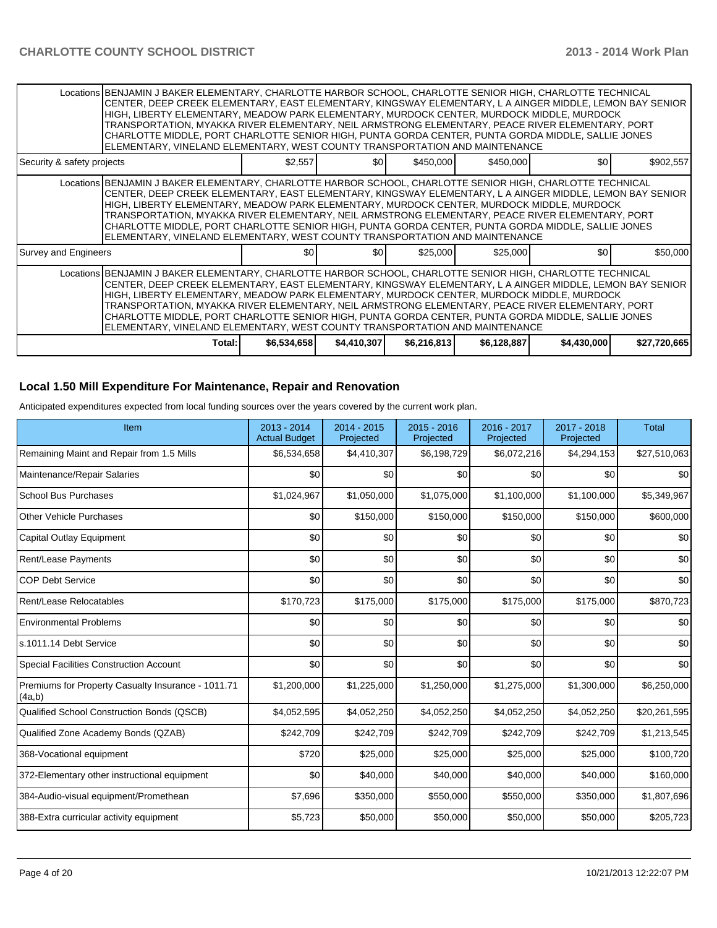|                            | Locations BENJAMIN J BAKER ELEMENTARY, CHARLOTTE HARBOR SCHOOL, CHARLOTTE SENIOR HIGH, CHARLOTTE TECHNICAL<br> CENTER, DEEP CREEK ELEMENTARY, EAST ELEMENTARY, KINGSWAY ELEMENTARY, L A AINGER MIDDLE, LEMON BAY SENIOR<br>HIGH, LIBERTY ELEMENTARY, MEADOW PARK ELEMENTARY, MURDOCK CENTER, MURDOCK MIDDLE, MURDOCK<br>TRANSPORTATION, MYAKKA RIVER ELEMENTARY, NEIL ARMSTRONG ELEMENTARY, PEACE RIVER ELEMENTARY, PORT<br>CHARLOTTE MIDDLE, PORT CHARLOTTE SENIOR HIGH, PUNTA GORDA CENTER, PUNTA GORDA MIDDLE, SALLIE JONES<br>ELEMENTARY, VINELAND ELEMENTARY, WEST COUNTY TRANSPORTATION AND MAINTENANCE |                  |             |              |             |             |              |  |  |
|----------------------------|---------------------------------------------------------------------------------------------------------------------------------------------------------------------------------------------------------------------------------------------------------------------------------------------------------------------------------------------------------------------------------------------------------------------------------------------------------------------------------------------------------------------------------------------------------------------------------------------------------------|------------------|-------------|--------------|-------------|-------------|--------------|--|--|
| Security & safety projects |                                                                                                                                                                                                                                                                                                                                                                                                                                                                                                                                                                                                               | \$2,557          | \$0I        | \$450,000    | \$450,000   | \$0         | \$902,557    |  |  |
|                            | Locations BENJAMIN J BAKER ELEMENTARY, CHARLOTTE HARBOR SCHOOL, CHARLOTTE SENIOR HIGH, CHARLOTTE TECHNICAL<br>CENTER, DEEP CREEK ELEMENTARY, EAST ELEMENTARY, KINGSWAY ELEMENTARY, L A AINGER MIDDLE, LEMON BAY SENIOR<br>HIGH, LIBERTY ELEMENTARY, MEADOW PARK ELEMENTARY, MURDOCK CENTER, MURDOCK MIDDLE, MURDOCK<br>TRANSPORTATION, MYAKKA RIVER ELEMENTARY, NEIL ARMSTRONG ELEMENTARY, PEACE RIVER ELEMENTARY, PORT<br>CHARLOTTE MIDDLE, PORT CHARLOTTE SENIOR HIGH, PUNTA GORDA CENTER, PUNTA GORDA MIDDLE, SALLIE JONES<br>ELEMENTARY, VINELAND ELEMENTARY, WEST COUNTY TRANSPORTATION AND MAINTENANCE  |                  |             |              |             |             |              |  |  |
| Survey and Engineers       |                                                                                                                                                                                                                                                                                                                                                                                                                                                                                                                                                                                                               | \$0 <sub>0</sub> | \$0         | \$25,000     | \$25,000    | \$0         | \$50,000     |  |  |
|                            | Locations BENJAMIN J BAKER ELEMENTARY, CHARLOTTE HARBOR SCHOOL, CHARLOTTE SENIOR HIGH, CHARLOTTE TECHNICAL<br>CENTER, DEEP CREEK ELEMENTARY, EAST ELEMENTARY, KINGSWAY ELEMENTARY, L A AINGER MIDDLE, LEMON BAY SENIOR<br>HIGH, LIBERTY ELEMENTARY, MEADOW PARK ELEMENTARY, MURDOCK CENTER, MURDOCK MIDDLE, MURDOCK<br>TRANSPORTATION, MYAKKA RIVER ELEMENTARY, NEIL ARMSTRONG ELEMENTARY, PEACE RIVER ELEMENTARY, PORT<br>CHARLOTTE MIDDLE, PORT CHARLOTTE SENIOR HIGH, PUNTA GORDA CENTER, PUNTA GORDA MIDDLE, SALLIE JONES<br>ELEMENTARY, VINELAND ELEMENTARY, WEST COUNTY TRANSPORTATION AND MAINTENANCE  |                  |             |              |             |             |              |  |  |
|                            | Total:                                                                                                                                                                                                                                                                                                                                                                                                                                                                                                                                                                                                        | \$6,534,658      | \$4,410,307 | \$6,216,813] | \$6,128,887 | \$4,430,000 | \$27,720,665 |  |  |

#### **Local 1.50 Mill Expenditure For Maintenance, Repair and Renovation**

Anticipated expenditures expected from local funding sources over the years covered by the current work plan.

| Item                                                         | $2013 - 2014$<br><b>Actual Budget</b> | $2014 - 2015$<br>Projected | 2015 - 2016<br>Projected | 2016 - 2017<br>Projected | 2017 - 2018<br>Projected | <b>Total</b> |
|--------------------------------------------------------------|---------------------------------------|----------------------------|--------------------------|--------------------------|--------------------------|--------------|
| Remaining Maint and Repair from 1.5 Mills                    | \$6,534,658                           | \$4,410,307                | \$6,198,729              | \$6,072,216              | \$4,294,153              | \$27,510,063 |
| Maintenance/Repair Salaries                                  | \$0                                   | \$0                        | \$0                      | \$0                      | \$0                      | \$0          |
| <b>School Bus Purchases</b>                                  | \$1,024,967                           | \$1,050,000                | \$1,075,000              | \$1,100,000              | \$1,100,000              | \$5,349,967  |
| Other Vehicle Purchases                                      | \$0                                   | \$150,000                  | \$150,000                | \$150,000                | \$150,000                | \$600,000    |
| <b>Capital Outlay Equipment</b>                              | \$0                                   | \$0                        | \$0                      | \$0                      | \$0                      | \$0          |
| Rent/Lease Payments                                          | \$0                                   | \$0                        | \$0                      | \$0                      | \$0                      | \$0          |
| <b>COP Debt Service</b>                                      | \$0                                   | \$0                        | \$0                      | \$0                      | \$0                      | \$0          |
| Rent/Lease Relocatables                                      | \$170,723                             | \$175,000                  | \$175,000                | \$175,000                | \$175,000                | \$870,723    |
| <b>Environmental Problems</b>                                | \$0                                   | \$0                        | \$0                      | \$0                      | \$0                      | \$0          |
| s.1011.14 Debt Service                                       | \$0                                   | \$0                        | \$0                      | \$0                      | \$0                      | \$0          |
| <b>Special Facilities Construction Account</b>               | \$0                                   | \$0                        | \$0                      | \$0                      | \$0                      | \$0          |
| Premiums for Property Casualty Insurance - 1011.71<br>(4a,b) | \$1,200,000                           | \$1,225,000                | \$1,250,000              | \$1,275,000              | \$1,300,000              | \$6,250,000  |
| Qualified School Construction Bonds (QSCB)                   | \$4,052,595                           | \$4,052,250                | \$4,052,250              | \$4,052,250              | \$4,052,250              | \$20,261,595 |
| Qualified Zone Academy Bonds (QZAB)                          | \$242,709                             | \$242,709                  | \$242,709                | \$242,709                | \$242,709                | \$1,213,545  |
| 368-Vocational equipment                                     | \$720                                 | \$25,000                   | \$25,000                 | \$25,000                 | \$25,000                 | \$100,720    |
| 372-Elementary other instructional equipment                 | \$0                                   | \$40,000                   | \$40,000                 | \$40,000                 | \$40,000                 | \$160,000    |
| 384-Audio-visual equipment/Promethean                        | \$7,696                               | \$350,000                  | \$550,000                | \$550,000                | \$350,000                | \$1,807,696  |
| 388-Extra curricular activity equipment                      | \$5,723                               | \$50,000                   | \$50,000                 | \$50,000                 | \$50,000                 | \$205,723    |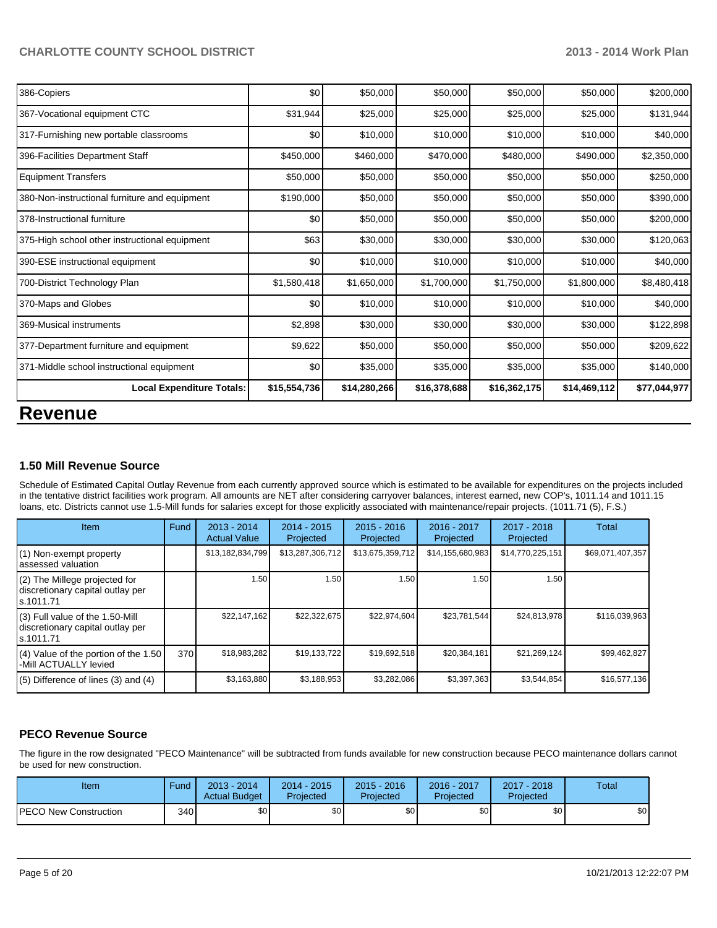| \$31,944 | \$25,000                                                          |              |             |              |                                                  |
|----------|-------------------------------------------------------------------|--------------|-------------|--------------|--------------------------------------------------|
|          |                                                                   | \$25,000     | \$25,000    | \$25,000     | \$131,944                                        |
| \$0      | \$10,000                                                          | \$10,000     | \$10,000    | \$10,000     | \$40,000                                         |
|          | \$460,000                                                         | \$470,000    | \$480,000   | \$490,000    | \$2,350,000                                      |
|          | \$50,000                                                          | \$50,000     |             | \$50,000     | \$250,000                                        |
|          | \$50,000                                                          | \$50,000     | \$50,000    | \$50,000     | \$390,000                                        |
| \$0      | \$50,000                                                          | \$50,000     | \$50,000    | \$50,000     | \$200,000                                        |
| \$63     | \$30,000                                                          | \$30,000     | \$30,000    | \$30,000     | \$120,063                                        |
| \$0      | \$10,000                                                          | \$10,000     |             | \$10,000     | \$40,000                                         |
|          | \$1,650,000                                                       | \$1,700,000  | \$1,750,000 | \$1,800,000  | \$8,480,418                                      |
| \$0      | \$10,000                                                          | \$10,000     | \$10,000    | \$10,000     | \$40,000                                         |
| \$2,898  | \$30,000                                                          | \$30,000     | \$30,000    | \$30,000     | \$122,898                                        |
| \$9,622  | \$50,000                                                          | \$50,000     | \$50,000    | \$50,000     | \$209,622                                        |
| \$0      | \$35,000                                                          | \$35,000     |             | \$35,000     | \$140,000                                        |
|          | \$14,280,266                                                      | \$16,378,688 |             | \$14,469,112 | \$77,044,977                                     |
|          | \$450,000<br>\$50,000<br>\$190,000<br>\$1,580,418<br>\$15,554,736 |              |             |              | \$50,000<br>\$10,000<br>\$35,000<br>\$16,362,175 |

# **Revenue**

### **1.50 Mill Revenue Source**

Schedule of Estimated Capital Outlay Revenue from each currently approved source which is estimated to be available for expenditures on the projects included in the tentative district facilities work program. All amounts are NET after considering carryover balances, interest earned, new COP's, 1011.14 and 1011.15 loans, etc. Districts cannot use 1.5-Mill funds for salaries except for those explicitly associated with maintenance/repair projects. (1011.71 (5), F.S.)

| Item                                                                                | Fund | $2013 - 2014$<br><b>Actual Value</b> | $2014 - 2015$<br>Projected | $2015 - 2016$<br>Projected | $2016 - 2017$<br>Projected | $2017 - 2018$<br>Projected | Total            |
|-------------------------------------------------------------------------------------|------|--------------------------------------|----------------------------|----------------------------|----------------------------|----------------------------|------------------|
| (1) Non-exempt property<br>lassessed valuation                                      |      | \$13,182,834,799                     | \$13,287,306,712           | \$13,675,359,712           | \$14,155,680,983           | \$14,770,225,151           | \$69,071,407,357 |
| $(2)$ The Millege projected for<br>discretionary capital outlay per<br>ls.1011.71   |      | 1.50                                 | 1.50 l                     | 1.50                       | 1.50                       | 1.50                       |                  |
| $(3)$ Full value of the 1.50-Mill<br>discretionary capital outlay per<br>ls.1011.71 |      | \$22.147.162                         | \$22,322,675               | \$22,974,604               | \$23,781,544               | \$24.813.978               | \$116,039,963    |
| $(4)$ Value of the portion of the 1.50<br>-Mill ACTUALLY levied                     | 370  | \$18,983,282                         | \$19,133,722               | \$19,692,518               | \$20,384,181               | \$21,269,124               | \$99,462,827     |
| $(5)$ Difference of lines (3) and (4)                                               |      | \$3,163,880                          | \$3,188,953                | \$3,282,086                | \$3,397,363                | \$3,544,854                | \$16,577,136     |

### **PECO Revenue Source**

The figure in the row designated "PECO Maintenance" will be subtracted from funds available for new construction because PECO maintenance dollars cannot be used for new construction.

| Item                         | Fund | 2013 - 2014<br><b>Actual Budget</b> | $2014 - 2015$<br>Projected | $2015 - 2016$<br>Projected | 2016 - 2017<br><b>Projected</b> | $2017 - 2018$<br>Projected | Total |
|------------------------------|------|-------------------------------------|----------------------------|----------------------------|---------------------------------|----------------------------|-------|
| <b>PECO New Construction</b> | 340  | \$0 <sub>1</sub>                    | \$0                        | \$0                        | \$0                             | \$0                        | \$0   |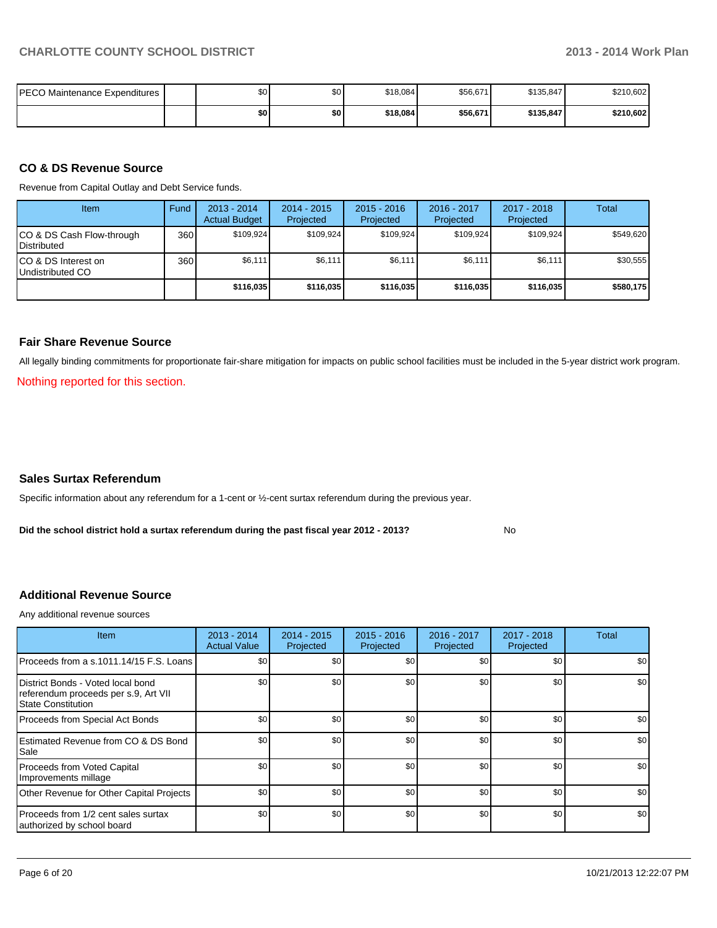| PECO Maintenance Expenditures I | \$0 <sub>1</sub> | $\mathbf{A}$<br>υŒ | \$18,084 | \$56,671 | \$135,847 | \$210,602 |
|---------------------------------|------------------|--------------------|----------|----------|-----------|-----------|
|                                 | \$O              | \$0                | \$18,084 | \$56,671 | \$135,847 | \$210,602 |

#### **CO & DS Revenue Source**

Revenue from Capital Outlay and Debt Service funds.

| Item                                               | Fund | $2013 - 2014$<br><b>Actual Budget</b> | $2014 - 2015$<br>Projected | $2015 - 2016$<br>Projected | 2016 - 2017<br>Projected | $2017 - 2018$<br>Projected | Total     |
|----------------------------------------------------|------|---------------------------------------|----------------------------|----------------------------|--------------------------|----------------------------|-----------|
| ICO & DS Cash Flow-through<br><b>I</b> Distributed | 360  | \$109.924                             | \$109,924                  | \$109.924                  | \$109.924                | \$109,924                  | \$549.620 |
| ICO & DS Interest on<br>Undistributed CO           | 360  | \$6,111                               | \$6,111                    | \$6,111                    | \$6,111                  | \$6,111                    | \$30,555  |
|                                                    |      | \$116,035                             | \$116,035                  | \$116,035                  | \$116,035                | \$116,035                  | \$580,175 |

#### **Fair Share Revenue Source**

All legally binding commitments for proportionate fair-share mitigation for impacts on public school facilities must be included in the 5-year district work program.

Nothing reported for this section.

#### **Sales Surtax Referendum**

Specific information about any referendum for a 1-cent or ½-cent surtax referendum during the previous year.

**Did the school district hold a surtax referendum during the past fiscal year 2012 - 2013?**

No

#### **Additional Revenue Source**

Any additional revenue sources

| Item                                                                                            | $2013 - 2014$<br><b>Actual Value</b> | $2014 - 2015$<br>Projected | $2015 - 2016$<br>Projected | $2016 - 2017$<br>Projected | $2017 - 2018$<br>Projected | Total            |
|-------------------------------------------------------------------------------------------------|--------------------------------------|----------------------------|----------------------------|----------------------------|----------------------------|------------------|
| Proceeds from a s.1011.14/15 F.S. Loans                                                         | \$0                                  | \$0                        | \$0                        | \$0                        | \$0                        | \$0 <sub>1</sub> |
| District Bonds - Voted local bond<br>referendum proceeds per s.9, Art VII<br>State Constitution | \$0                                  | \$0                        | \$0                        | \$0                        | \$0                        | \$0              |
| Proceeds from Special Act Bonds                                                                 | \$0                                  | \$0                        | \$0                        | \$0                        | \$0                        | \$0              |
| <b>IEstimated Revenue from CO &amp; DS Bond</b><br>l Sale                                       | \$0                                  | \$0                        | \$0                        | \$0                        | \$0                        | \$0 <sub>1</sub> |
| Proceeds from Voted Capital<br>Improvements millage                                             | \$0                                  | \$0                        | \$0                        | \$0                        | \$0                        | \$0              |
| Other Revenue for Other Capital Projects                                                        | \$0                                  | \$0                        | \$0                        | \$0                        | \$0                        | \$0 <sub>1</sub> |
| Proceeds from 1/2 cent sales surtax<br>authorized by school board                               | \$0                                  | \$0                        | \$0                        | \$0                        | \$0                        | \$0 <sub>1</sub> |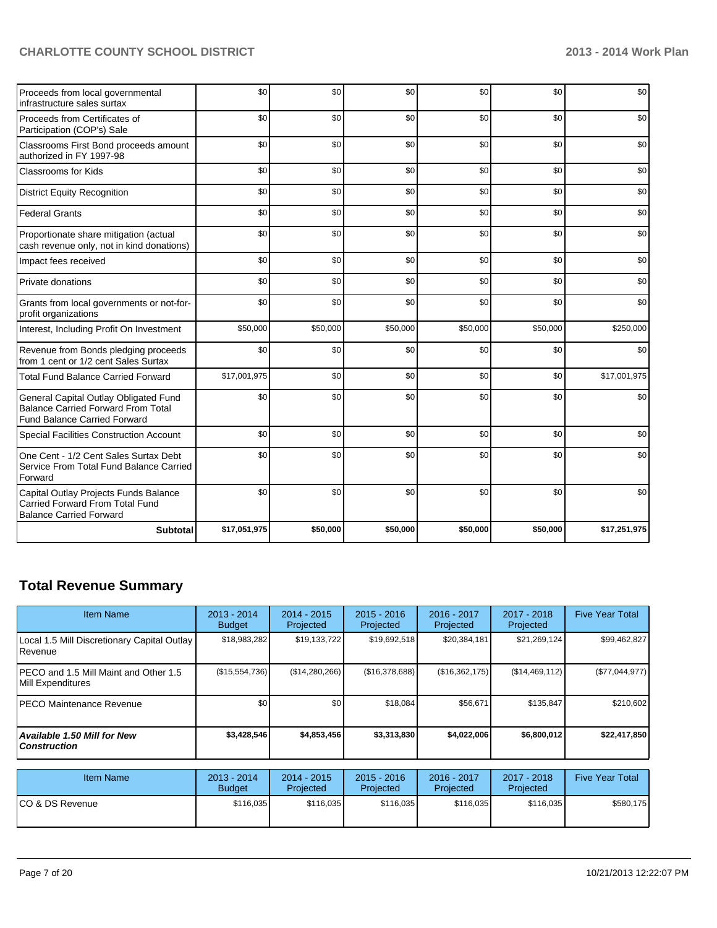| Proceeds from local governmental<br>infrastructure sales surtax                                                           | \$0          | \$0      | \$0      | \$0      | \$0      | \$0          |
|---------------------------------------------------------------------------------------------------------------------------|--------------|----------|----------|----------|----------|--------------|
| Proceeds from Certificates of<br>Participation (COP's) Sale                                                               | \$0          | \$0      | \$0      | \$0      | \$0      | \$0          |
| Classrooms First Bond proceeds amount<br>authorized in FY 1997-98                                                         | \$0          | \$0      | \$0      | \$0      | \$0      | \$0          |
| <b>Classrooms for Kids</b>                                                                                                | \$0          | \$0      | \$0      | \$0      | \$0      | \$0          |
| <b>District Equity Recognition</b>                                                                                        | \$0          | \$0      | \$0      | \$0      | \$0      | \$0          |
| <b>Federal Grants</b>                                                                                                     | \$0          | \$0      | \$0      | \$0      | \$0      | \$0          |
| Proportionate share mitigation (actual<br>cash revenue only, not in kind donations)                                       | \$0          | \$0      | \$0      | \$0      | \$0      | \$0          |
| Impact fees received                                                                                                      | \$0          | \$0      | \$0      | \$0      | \$0      | \$0          |
| Private donations                                                                                                         | \$0          | \$0      | \$0      | \$0      | \$0      | \$0          |
| Grants from local governments or not-for-<br>profit organizations                                                         | \$0          | \$0      | \$0      | \$0      | \$0      | \$0          |
| Interest, Including Profit On Investment                                                                                  | \$50,000     | \$50,000 | \$50,000 | \$50,000 | \$50,000 | \$250,000    |
| Revenue from Bonds pledging proceeds<br>from 1 cent or 1/2 cent Sales Surtax                                              | \$0          | \$0      | \$0      | \$0      | \$0      | \$0          |
| <b>Total Fund Balance Carried Forward</b>                                                                                 | \$17,001,975 | \$0      | \$0      | \$0      | \$0      | \$17,001,975 |
| General Capital Outlay Obligated Fund<br><b>Balance Carried Forward From Total</b><br><b>Fund Balance Carried Forward</b> | \$0          | \$0      | \$0      | \$0      | \$0      | \$0          |
| Special Facilities Construction Account                                                                                   | \$0          | \$0      | \$0      | \$0      | \$0      | \$0          |
| One Cent - 1/2 Cent Sales Surtax Debt<br>Service From Total Fund Balance Carried<br>Forward                               | \$0          | \$0      | \$0      | \$0      | \$0      | \$0          |
| Capital Outlay Projects Funds Balance<br><b>Carried Forward From Total Fund</b><br><b>Balance Carried Forward</b>         | \$0          | \$0      | \$0      | \$0      | \$0      | \$0          |
| <b>Subtotal</b>                                                                                                           | \$17,051,975 | \$50,000 | \$50,000 | \$50,000 | \$50,000 | \$17,251,975 |

# **Total Revenue Summary**

| <b>Item Name</b>                                                | $2013 - 2014$<br><b>Budget</b> | $2014 - 2015$<br>Projected | $2015 - 2016$<br>Projected | $2016 - 2017$<br>Projected | $2017 - 2018$<br>Projected | <b>Five Year Total</b> |
|-----------------------------------------------------------------|--------------------------------|----------------------------|----------------------------|----------------------------|----------------------------|------------------------|
| Local 1.5 Mill Discretionary Capital Outlay<br><b>I</b> Revenue | \$18,983,282                   | \$19,133,722               | \$19,692,518               | \$20,384,181               | \$21,269,124               | \$99,462,827           |
| IPECO and 1.5 Mill Maint and Other 1.5<br>Mill Expenditures     | (S15, 554, 736)                | (\$14,280,266)             | (\$16,378,688)             | (\$16,362,175)             | (S14, 469, 112)            | (\$77,044,977)         |
| IPECO Maintenance Revenue                                       | \$0                            | \$0                        | \$18.084                   | \$56,671                   | \$135,847                  | \$210,602              |
| Available 1.50 Mill for New \,<br>l Construction                | \$3,428,546                    | \$4,853,456                | \$3,313,830                | \$4,022,006                | \$6,800,012                | \$22,417,850           |

| Item Name        | 2013 - 2014<br><b>Budget</b> | $2014 - 2015$<br>Projected | $2015 - 2016$<br>Projected | 2016 - 2017<br>Projected | 2017 - 2018<br>Projected | <b>Five Year Total</b> |
|------------------|------------------------------|----------------------------|----------------------------|--------------------------|--------------------------|------------------------|
| ICO & DS Revenue | \$116,035                    | \$116,035                  | \$116,035                  | \$116,035                | \$116.035                | \$580,175              |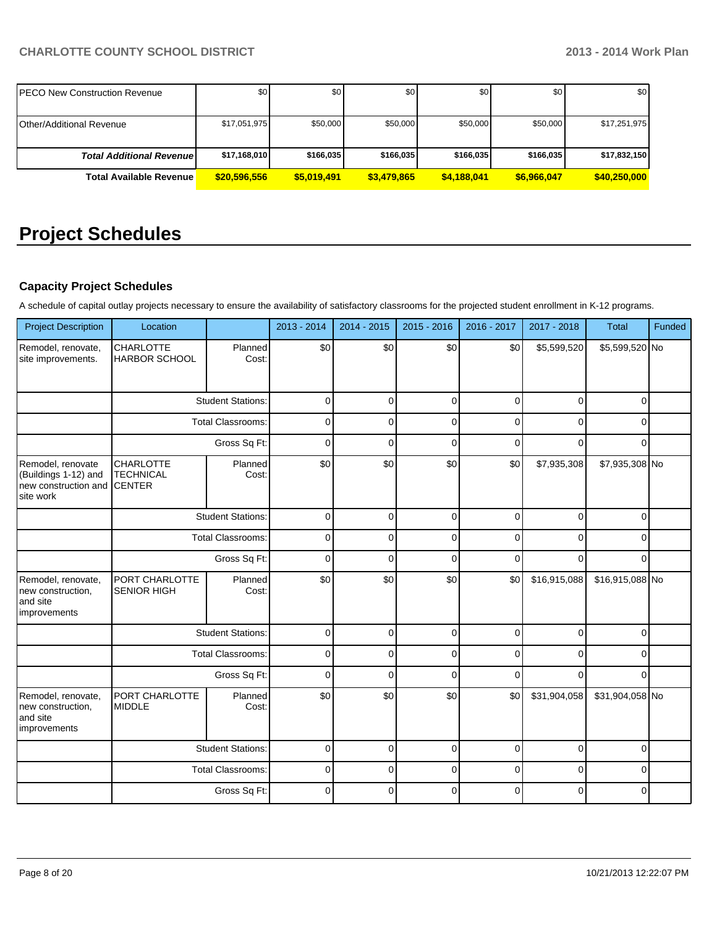| <b>PECO New Construction Revenue</b> | \$0          | \$0 <sub>l</sub> | \$0         | \$0         | \$0         | \$0          |
|--------------------------------------|--------------|------------------|-------------|-------------|-------------|--------------|
| <b>Other/Additional Revenue</b>      | \$17,051,975 | \$50,000         | \$50,000    | \$50,000    | \$50,000    | \$17,251,975 |
|                                      |              |                  |             |             |             |              |
| <b>Total Additional Revenuel</b>     | \$17,168,010 | \$166,035        | \$166,035   | \$166,035   | \$166,035   | \$17,832,150 |
| <b>Total Available Revenue</b>       | \$20,596,556 | \$5.019.491      | \$3,479,865 | \$4.188.041 | \$6.966.047 | \$40,250,000 |

# **Project Schedules**

# **Capacity Project Schedules**

A schedule of capital outlay projects necessary to ensure the availability of satisfactory classrooms for the projected student enrollment in K-12 programs.

| <b>Project Description</b>                                                     | Location                                              |                          | 2013 - 2014 | 2014 - 2015 | 2015 - 2016 | 2016 - 2017 | 2017 - 2018  | <b>Total</b>    | Funded |
|--------------------------------------------------------------------------------|-------------------------------------------------------|--------------------------|-------------|-------------|-------------|-------------|--------------|-----------------|--------|
| Remodel, renovate,<br>site improvements.                                       | CHARLOTTE<br><b>HARBOR SCHOOL</b>                     | Planned<br>Cost:         | \$0         | \$0         | \$0         | \$0         | \$5,599,520  | \$5,599,520 No  |        |
|                                                                                |                                                       | <b>Student Stations:</b> | $\mathbf 0$ | $\mathbf 0$ | $\mathbf 0$ | $\mathbf 0$ | $\mathbf 0$  | 0               |        |
|                                                                                |                                                       | <b>Total Classrooms:</b> | $\mathbf 0$ | $\mathbf 0$ | $\mathbf 0$ | $\Omega$    | $\Omega$     | $\Omega$        |        |
|                                                                                |                                                       | Gross Sq Ft:             | $\mathbf 0$ | $\mathbf 0$ | $\mathbf 0$ | $\Omega$    | $\Omega$     | $\Omega$        |        |
| Remodel, renovate<br>(Buildings 1-12) and<br>new construction and<br>site work | <b>CHARLOTTE</b><br><b>TECHNICAL</b><br><b>CENTER</b> | Planned<br>Cost:         | \$0         | \$0         | \$0         | \$0         | \$7,935,308  | \$7,935,308 No  |        |
|                                                                                |                                                       | <b>Student Stations:</b> | $\mathbf 0$ | $\Omega$    | $\mathbf 0$ | $\Omega$    | $\Omega$     | $\Omega$        |        |
|                                                                                | <b>Total Classrooms:</b>                              |                          | $\mathbf 0$ | $\mathbf 0$ | $\mathbf 0$ | 0           | $\mathbf 0$  | $\Omega$        |        |
|                                                                                | Gross Sq Ft:                                          |                          | $\mathbf 0$ | $\Omega$    | $\Omega$    | $\Omega$    | $\Omega$     | $\Omega$        |        |
| Remodel, renovate,<br>new construction,<br>and site<br>improvements            | PORT CHARLOTTE<br><b>SENIOR HIGH</b>                  | Planned<br>Cost:         | \$0         | \$0         | \$0         | \$0         | \$16,915,088 | \$16,915,088 No |        |
|                                                                                |                                                       | <b>Student Stations:</b> | $\mathbf 0$ | $\mathbf 0$ | $\mathbf 0$ | $\mathbf 0$ | $\mathbf 0$  | $\Omega$        |        |
|                                                                                |                                                       | <b>Total Classrooms:</b> | $\mathbf 0$ | $\mathbf 0$ | $\mathbf 0$ | $\mathbf 0$ | $\mathbf 0$  | $\Omega$        |        |
|                                                                                |                                                       | Gross Sq Ft:             | $\mathbf 0$ | $\Omega$    | $\mathbf 0$ | $\Omega$    | $\Omega$     | $\Omega$        |        |
| Remodel, renovate,<br>new construction,<br>and site<br>improvements            | PORT CHARLOTTE<br><b>MIDDLE</b>                       | Planned<br>Cost:         | \$0         | \$0         | \$0         | \$0         | \$31,904,058 | \$31,904,058 No |        |
|                                                                                |                                                       | <b>Student Stations:</b> | $\mathbf 0$ | $\Omega$    | $\mathbf 0$ | $\Omega$    | $\mathbf 0$  | $\Omega$        |        |
|                                                                                |                                                       | <b>Total Classrooms:</b> | $\mathbf 0$ | $\mathbf 0$ | $\mathbf 0$ | $\mathbf 0$ | $\mathbf 0$  | $\Omega$        |        |
|                                                                                |                                                       | Gross Sq Ft:             | $\mathbf 0$ | $\Omega$    | $\Omega$    | $\Omega$    | $\Omega$     | $\Omega$        |        |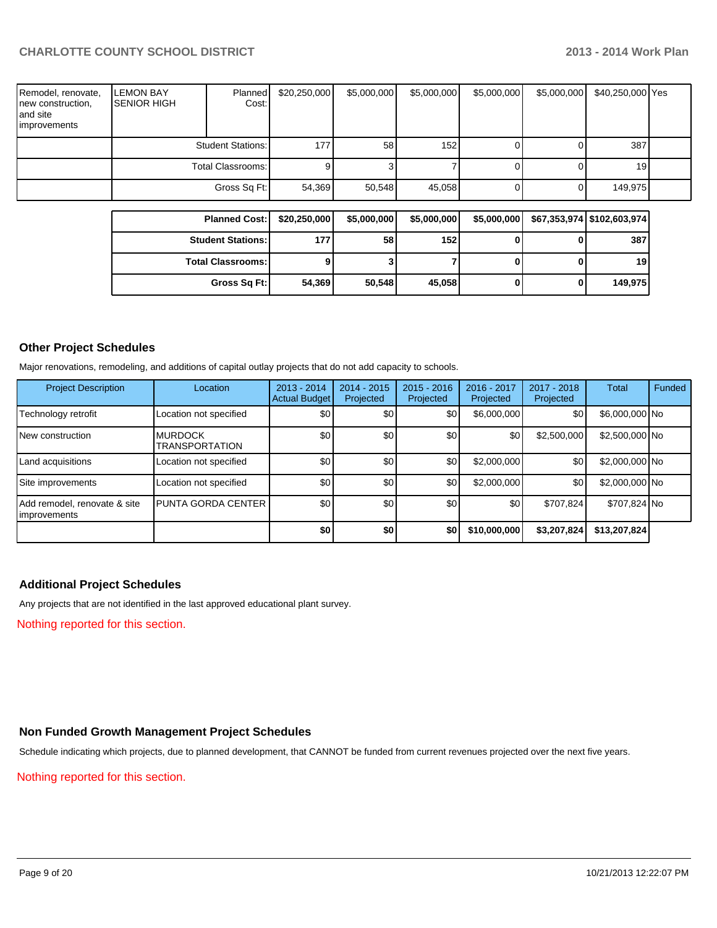| Remodel, renovate,<br>new construction,<br>and site<br>improvements | <b>LEMON BAY</b><br><b>SENIOR HIGH</b> | <b>Planned</b><br>Cost:  | \$20,250,000 | \$5,000,000 | \$5,000,000      | \$5,000,000 | \$5,000,000 | \$40,250,000 Yes |  |
|---------------------------------------------------------------------|----------------------------------------|--------------------------|--------------|-------------|------------------|-------------|-------------|------------------|--|
|                                                                     |                                        | <b>Student Stations:</b> | 1771         | 58          | 152 <sub>l</sub> |             |             | 387              |  |
|                                                                     | Total Classrooms:                      |                          |              |             |                  |             |             | 19               |  |
|                                                                     | Gross Sq Ft:                           |                          | 54,369       | 50,548      | 45,058           |             |             | 149,975          |  |

| <b>Planned Cost:</b>     | \$20,250,000 | \$5,000,000 | \$5,000,000 | \$5,000,000 | \$67,353,974   \$102,603,974 |
|--------------------------|--------------|-------------|-------------|-------------|------------------------------|
| <b>Student Stations:</b> | 177          | 58          | 152         |             | 387                          |
| <b>Total Classrooms:</b> |              |             |             |             | 19                           |
| Gross Sq Ft:             | 54.369       | 50,548      | 45,058      |             | 149,975                      |

## **Other Project Schedules**

Major renovations, remodeling, and additions of capital outlay projects that do not add capacity to schools.

| <b>Project Description</b>                    | Location                                | $2013 - 2014$<br><b>Actual Budget</b> | $2014 - 2015$<br>Projected | $2015 - 2016$<br>Projected | 2016 - 2017<br>Projected | $2017 - 2018$<br>Projected | Total          | Funded |
|-----------------------------------------------|-----------------------------------------|---------------------------------------|----------------------------|----------------------------|--------------------------|----------------------------|----------------|--------|
| Technology retrofit                           | Location not specified                  | \$0                                   | \$0                        | <b>\$0</b>                 | \$6,000,000              | \$0                        | \$6,000,000 No |        |
| <b>New construction</b>                       | <b>MURDOCK</b><br><b>TRANSPORTATION</b> | \$0                                   | \$0                        | \$0                        | \$0                      | \$2,500,000                | \$2,500,000 No |        |
| Land acquisitions                             | Location not specified                  | \$0 <sub>1</sub>                      | \$0                        | \$0                        | \$2,000,000              | \$0                        | \$2,000,000 No |        |
| Site improvements                             | Location not specified                  | \$0                                   | \$0                        | \$0                        | \$2,000,000              | \$0                        | \$2,000,000 No |        |
| Add remodel, renovate & site<br>limprovements | <b>PUNTA GORDA CENTER I</b>             | \$0                                   | \$0                        | \$0                        | \$0                      | \$707.824                  | \$707,824 No   |        |
|                                               |                                         | \$0                                   | \$0                        | \$0                        | \$10,000,000             | \$3,207,824                | \$13,207,824   |        |

#### **Additional Project Schedules**

Any projects that are not identified in the last approved educational plant survey.

Nothing reported for this section.

# **Non Funded Growth Management Project Schedules**

Schedule indicating which projects, due to planned development, that CANNOT be funded from current revenues projected over the next five years.

### Nothing reported for this section.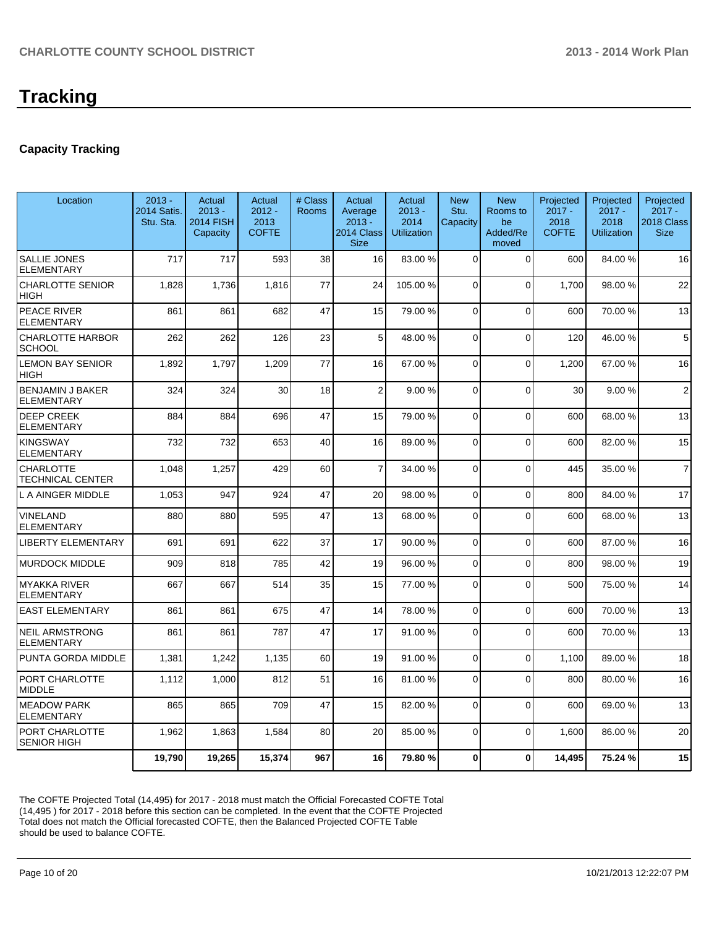# **Tracking**

## **Capacity Tracking**

| Location                                     | $2013 -$<br>2014 Satis.<br>Stu. Sta. | Actual<br>$2013 -$<br><b>2014 FISH</b><br>Capacity | <b>Actual</b><br>$2012 -$<br>2013<br><b>COFTE</b> | # Class<br><b>Rooms</b> | Actual<br>Average<br>$2013 -$<br>2014 Class<br><b>Size</b> | Actual<br>$2013 -$<br>2014<br><b>Utilization</b> | <b>New</b><br>Stu.<br>Capacity | <b>New</b><br>Rooms to<br>be<br>Added/Re<br>moved | Projected<br>$2017 -$<br>2018<br><b>COFTE</b> | Projected<br>$2017 -$<br>2018<br><b>Utilization</b> | Projected<br>$2017 -$<br>2018 Class<br><b>Size</b> |
|----------------------------------------------|--------------------------------------|----------------------------------------------------|---------------------------------------------------|-------------------------|------------------------------------------------------------|--------------------------------------------------|--------------------------------|---------------------------------------------------|-----------------------------------------------|-----------------------------------------------------|----------------------------------------------------|
| <b>SALLIE JONES</b><br><b>ELEMENTARY</b>     | 717                                  | 717                                                | 593                                               | 38                      | 16                                                         | 83.00 %                                          | $\Omega$                       | $\Omega$                                          | 600                                           | 84.00%                                              | 16                                                 |
| <b>CHARLOTTE SENIOR</b><br><b>HIGH</b>       | 1,828                                | 1,736                                              | 1,816                                             | 77                      | 24                                                         | 105.00 %                                         | $\Omega$                       | $\Omega$                                          | 1.700                                         | 98.00 %                                             | 22                                                 |
| PEACE RIVER<br><b>ELEMENTARY</b>             | 861                                  | 861                                                | 682                                               | 47                      | 15                                                         | 79.00 %                                          | $\Omega$                       | $\Omega$                                          | 600                                           | 70.00%                                              | 13                                                 |
| <b>CHARLOTTE HARBOR</b><br><b>SCHOOL</b>     | 262                                  | 262                                                | 126                                               | 23                      | 5                                                          | 48.00 %                                          | 0                              | $\Omega$                                          | 120                                           | 46.00 %                                             | 5                                                  |
| <b>LEMON BAY SENIOR</b><br><b>HIGH</b>       | 1,892                                | 1.797                                              | 1,209                                             | 77                      | 16                                                         | 67.00 %                                          | $\Omega$                       | $\Omega$                                          | 1,200                                         | 67.00 %                                             | 16                                                 |
| <b>BENJAMIN J BAKER</b><br><b>ELEMENTARY</b> | 324                                  | 324                                                | 30                                                | 18                      | $\overline{c}$                                             | 9.00 %                                           | 0                              | $\Omega$                                          | 30                                            | 9.00%                                               | $\overline{2}$                                     |
| <b>DEEP CREEK</b><br><b>ELEMENTARY</b>       | 884                                  | 884                                                | 696                                               | 47                      | 15                                                         | 79.00 %                                          | $\Omega$                       | $\Omega$                                          | 600                                           | 68.00 %                                             | 13                                                 |
| KINGSWAY<br><b>ELEMENTARY</b>                | 732                                  | 732                                                | 653                                               | 40                      | 16                                                         | 89.00 %                                          | $\Omega$                       | $\Omega$                                          | 600                                           | 82.00 %                                             | 15                                                 |
| <b>CHARLOTTE</b><br><b>TECHNICAL CENTER</b>  | 1,048                                | 1,257                                              | 429                                               | 60                      | $\overline{7}$                                             | 34.00 %                                          | $\Omega$                       | $\Omega$                                          | 445                                           | 35.00 %                                             | $\overline{7}$                                     |
| L A AINGER MIDDLE                            | 1,053                                | 947                                                | 924                                               | 47                      | 20                                                         | 98.00 %                                          | $\overline{0}$                 | $\Omega$                                          | 800                                           | 84.00%                                              | 17                                                 |
| VINELAND<br><b>ELEMENTARY</b>                | 880                                  | 880                                                | 595                                               | 47                      | 13                                                         | 68.00 %                                          | $\Omega$                       | $\Omega$                                          | 600                                           | 68.00 %                                             | 13                                                 |
| <b>LIBERTY ELEMENTARY</b>                    | 691                                  | 691                                                | 622                                               | 37                      | 17                                                         | 90.00 %                                          | $\Omega$                       | $\Omega$                                          | 600                                           | 87.00 %                                             | 16                                                 |
| <b>MURDOCK MIDDLE</b>                        | 909                                  | 818                                                | 785                                               | 42                      | 19                                                         | 96.00 %                                          | $\overline{0}$                 | $\Omega$                                          | 800                                           | 98.00%                                              | 19                                                 |
| IMYAKKA RIVER<br><b>ELEMENTARY</b>           | 667                                  | 667                                                | 514                                               | 35                      | 15                                                         | 77.00 %                                          | $\Omega$                       | $\Omega$                                          | 500                                           | 75.00 %                                             | 14                                                 |
| <b>EAST ELEMENTARY</b>                       | 861                                  | 861                                                | 675                                               | 47                      | 14                                                         | 78.00 %                                          | $\Omega$                       | $\Omega$                                          | 600                                           | 70.00 %                                             | 13                                                 |
| <b>NEIL ARMSTRONG</b><br><b>ELEMENTARY</b>   | 861                                  | 861                                                | 787                                               | 47                      | 17                                                         | 91.00 %                                          | $\Omega$                       | $\Omega$                                          | 600                                           | 70.00%                                              | 13                                                 |
| PUNTA GORDA MIDDLE                           | 1,381                                | 1,242                                              | 1,135                                             | 60                      | 19                                                         | 91.00 %                                          | $\Omega$                       | $\Omega$                                          | 1.100                                         | 89.00 %                                             | 18                                                 |
| PORT CHARLOTTE<br><b>MIDDLE</b>              | 1,112                                | 1,000                                              | 812                                               | 51                      | 16                                                         | 81.00 %                                          | $\Omega$                       | $\Omega$                                          | 800                                           | 80.00%                                              | 16                                                 |
| <b>MEADOW PARK</b><br><b>ELEMENTARY</b>      | 865                                  | 865                                                | 709                                               | 47                      | 15                                                         | 82.00 %                                          | 0                              | $\Omega$                                          | 600                                           | 69.00%                                              | 13                                                 |
| PORT CHARLOTTE<br><b>SENIOR HIGH</b>         | 1,962                                | 1,863                                              | 1,584                                             | 80                      | 20                                                         | 85.00 %                                          | $\Omega$                       | $\Omega$                                          | 1,600                                         | 86.00 %                                             | 20                                                 |
|                                              | 19.790                               | 19,265                                             | 15,374                                            | 967                     | 16                                                         | 79.80 %                                          | $\bf{0}$                       | $\bf{0}$                                          | 14.495                                        | 75.24 %                                             | 15                                                 |

The COFTE Projected Total (14,495) for 2017 - 2018 must match the Official Forecasted COFTE Total (14,495 ) for 2017 - 2018 before this section can be completed. In the event that the COFTE Projected Total does not match the Official forecasted COFTE, then the Balanced Projected COFTE Table should be used to balance COFTE.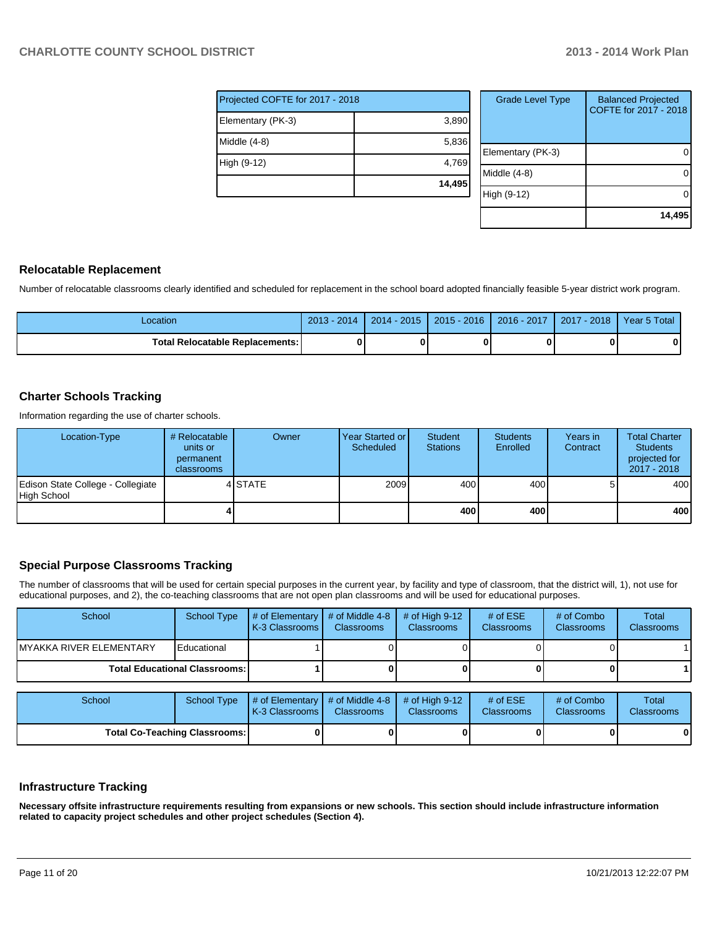| Projected COFTE for 2017 - 2018 |        |  |  |  |  |  |
|---------------------------------|--------|--|--|--|--|--|
| Elementary (PK-3)               | 3,890  |  |  |  |  |  |
| Middle (4-8)                    | 5,836  |  |  |  |  |  |
| High (9-12)                     | 4,769  |  |  |  |  |  |
|                                 | 14,495 |  |  |  |  |  |

| <b>Grade Level Type</b> | <b>Balanced Projected</b><br>COFTE for 2017 - 2018 |
|-------------------------|----------------------------------------------------|
| Elementary (PK-3)       |                                                    |
| Middle (4-8)            |                                                    |
| High (9-12)             |                                                    |
|                         | 14,495                                             |

#### **Relocatable Replacement**

Number of relocatable classrooms clearly identified and scheduled for replacement in the school board adopted financially feasible 5-year district work program.

| _ocation                          | $2013 -$<br>2014 | $2014 - 2015$ | $2015 - 2016$ | 2016 - 2017 | $-2018$<br>2017 | Year 5 Total |
|-----------------------------------|------------------|---------------|---------------|-------------|-----------------|--------------|
| Total Relocatable Replacements: I |                  |               |               |             |                 |              |

#### **Charter Schools Tracking**

Information regarding the use of charter schools.

| Location-Type                                    | # Relocatable  <br>units or<br>permanent<br>classrooms | Owner   | Year Started or<br>Scheduled | Student<br><b>Stations</b> | <b>Students</b><br>Enrolled | Years in<br>Contract | <b>Total Charter</b><br><b>Students</b><br>projected for<br>2017 - 2018 |
|--------------------------------------------------|--------------------------------------------------------|---------|------------------------------|----------------------------|-----------------------------|----------------------|-------------------------------------------------------------------------|
| Edison State College - Collegiate<br>High School |                                                        | 4 STATE | 2009                         | 400                        | 400 l                       |                      | 400 <sup>I</sup>                                                        |
|                                                  |                                                        |         |                              | 400 l                      | 400                         |                      | 400                                                                     |

## **Special Purpose Classrooms Tracking**

The number of classrooms that will be used for certain special purposes in the current year, by facility and type of classroom, that the district will, 1), not use for educational purposes, and 2), the co-teaching classrooms that are not open plan classrooms and will be used for educational purposes.

| School                   | School Type                            | $\parallel$ # of Elementary $\parallel$ # of Middle 4-8 $\parallel$<br><b>K-3 Classrooms</b> | <b>Classrooms</b> | $\#$ of High 9-12<br><b>Classrooms</b> | # of $ESE$<br>Classrooms | # of Combo<br><b>Classrooms</b> | Total<br><b>Classrooms</b> |
|--------------------------|----------------------------------------|----------------------------------------------------------------------------------------------|-------------------|----------------------------------------|--------------------------|---------------------------------|----------------------------|
| IMYAKKA RIVER ELEMENTARY | Educational                            |                                                                                              |                   |                                        |                          |                                 |                            |
|                          | <b>Total Educational Classrooms: I</b> |                                                                                              |                   |                                        |                          |                                 |                            |

| School | School Type                          | $\parallel$ # of Elementary $\parallel$ # of Middle 4-8 $\parallel$ # of High 9-12<br><b>IK-3 Classrooms I</b> | <b>Classrooms</b> | <b>Classrooms</b> | # of $ESE$<br><b>Classrooms</b> | # of Combo<br><b>Classrooms</b> | Total<br><b>Classrooms</b> |
|--------|--------------------------------------|----------------------------------------------------------------------------------------------------------------|-------------------|-------------------|---------------------------------|---------------------------------|----------------------------|
|        | <b>Total Co-Teaching Classrooms:</b> |                                                                                                                |                   |                   | 0                               | 0                               |                            |

#### **Infrastructure Tracking**

**Necessary offsite infrastructure requirements resulting from expansions or new schools. This section should include infrastructure information related to capacity project schedules and other project schedules (Section 4).**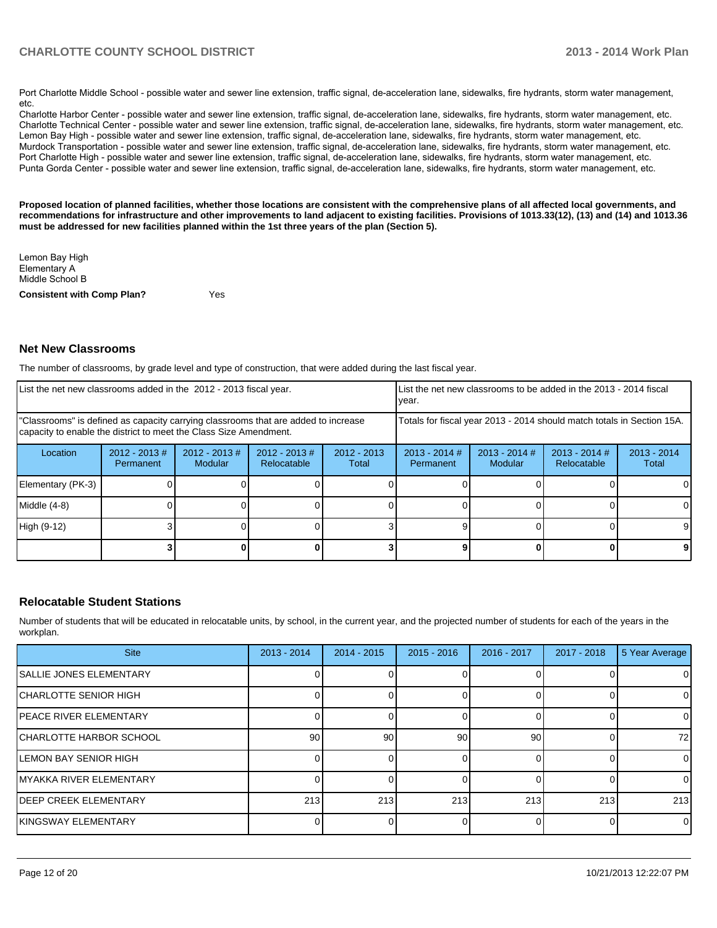Port Charlotte Middle School - possible water and sewer line extension, traffic signal, de-acceleration lane, sidewalks, fire hydrants, storm water management,  $etc.$ 

Charlotte Harbor Center - possible water and sewer line extension, traffic signal, de-acceleration lane, sidewalks, fire hydrants, storm water management, etc. Charlotte Technical Center - possible water and sewer line extension, traffic signal, de-acceleration lane, sidewalks, fire hydrants, storm water management, etc. Lemon Bay High - possible water and sewer line extension, traffic signal, de-acceleration lane, sidewalks, fire hydrants, storm water management, etc. Murdock Transportation - possible water and sewer line extension, traffic signal, de-acceleration lane, sidewalks, fire hydrants, storm water management, etc. Port Charlotte High - possible water and sewer line extension, traffic signal, de-acceleration lane, sidewalks, fire hydrants, storm water management, etc. Punta Gorda Center - possible water and sewer line extension, traffic signal, de-acceleration lane, sidewalks, fire hydrants, storm water management, etc.

**Proposed location of planned facilities, whether those locations are consistent with the comprehensive plans of all affected local governments, and recommendations for infrastructure and other improvements to land adjacent to existing facilities. Provisions of 1013.33(12), (13) and (14) and 1013.36 must be addressed for new facilities planned within the 1st three years of the plan (Section 5).**

| <b>Consistent with Comp Plan?</b> | Yes |
|-----------------------------------|-----|
| Middle School B                   |     |
| Elementary A                      |     |
| Lemon Bay High                    |     |

#### **Net New Classrooms**

The number of classrooms, by grade level and type of construction, that were added during the last fiscal year.

| List the net new classrooms added in the 2012 - 2013 fiscal year.                                                                                       |                               |                                 |                                |                                                                        | Ivear.                       |                                   | List the net new classrooms to be added in the 2013 - 2014 fiscal |                        |
|---------------------------------------------------------------------------------------------------------------------------------------------------------|-------------------------------|---------------------------------|--------------------------------|------------------------------------------------------------------------|------------------------------|-----------------------------------|-------------------------------------------------------------------|------------------------|
| "Classrooms" is defined as capacity carrying classrooms that are added to increase<br>capacity to enable the district to meet the Class Size Amendment. |                               |                                 |                                | Totals for fiscal year 2013 - 2014 should match totals in Section 15A. |                              |                                   |                                                                   |                        |
| Location                                                                                                                                                | $2012 - 2013 \#$<br>Permanent | 2012 - 2013 #<br><b>Modular</b> | $2012 - 2013$ #<br>Relocatable | $2012 - 2013$<br>Total                                                 | $2013 - 2014$ #<br>Permanent | $2013 - 2014$ #<br><b>Modular</b> | $2013 - 2014$ #<br><b>Relocatable</b>                             | $2013 - 2014$<br>Total |
| Elementary (PK-3)                                                                                                                                       |                               |                                 |                                |                                                                        |                              |                                   |                                                                   |                        |
| Middle (4-8)                                                                                                                                            |                               |                                 |                                |                                                                        |                              |                                   |                                                                   |                        |
| High (9-12)                                                                                                                                             |                               |                                 |                                |                                                                        |                              |                                   |                                                                   | 9                      |
|                                                                                                                                                         |                               |                                 |                                |                                                                        |                              |                                   |                                                                   |                        |

#### **Relocatable Student Stations**

Number of students that will be educated in relocatable units, by school, in the current year, and the projected number of students for each of the years in the workplan.

| <b>Site</b>                    | $2013 - 2014$ | $2014 - 2015$ | $2015 - 2016$ | $2016 - 2017$ | $2017 - 2018$ | 5 Year Average |
|--------------------------------|---------------|---------------|---------------|---------------|---------------|----------------|
| <b>SALLIE JONES ELEMENTARY</b> |               |               |               |               |               | 0              |
| CHARLOTTE SENIOR HIGH          |               |               |               |               |               | 0              |
| IPEACE RIVER ELEMENTARY        |               |               |               |               |               | 0              |
| CHARLOTTE HARBOR SCHOOL        | 90            | 90            | 90            | 90            |               | 72             |
| <b>LEMON BAY SENIOR HIGH</b>   |               |               |               |               |               | 0              |
| MYAKKA RIVER ELEMENTARY        |               |               |               |               |               | 0              |
| <b>DEEP CREEK ELEMENTARY</b>   | 213           | 213           | 213           | 213           | 213           | 213            |
| KINGSWAY ELEMENTARY            |               |               |               |               |               | $\Omega$       |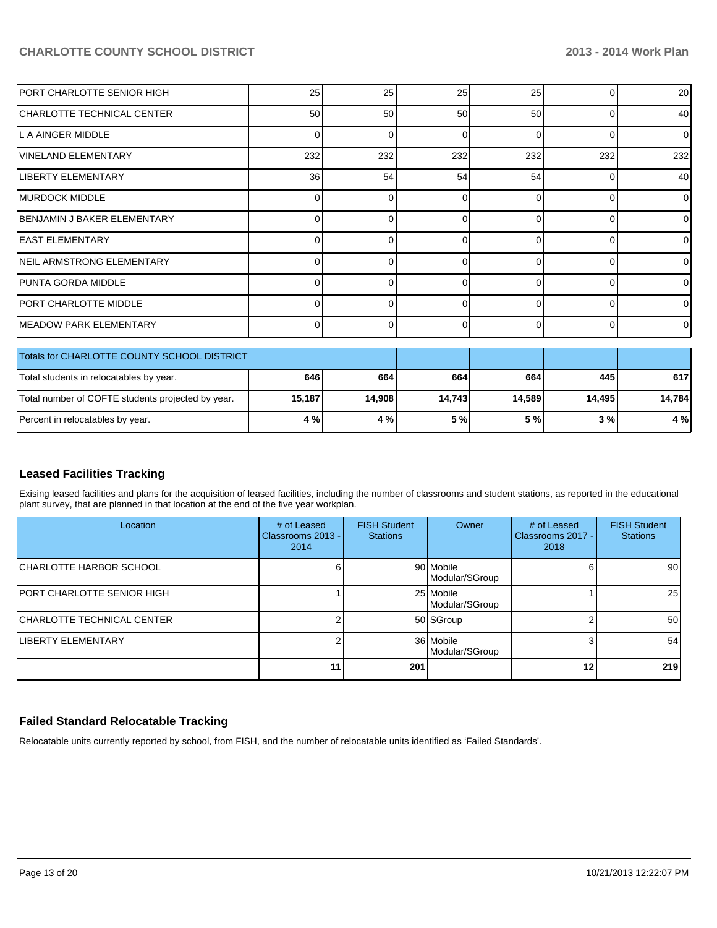| <b>PORT CHARLOTTE SENIOR HIGH</b>                 | 25       | 25       | 25     | 25       | 0        | 20             |
|---------------------------------------------------|----------|----------|--------|----------|----------|----------------|
| ICHARLOTTE TECHNICAL CENTER                       | 50       | 50       | 50     | 50       | $\Omega$ | 40             |
| lL A AINGER MIDDLE                                | 0        | 0        | 0      | $\Omega$ | $\Omega$ | $\Omega$       |
| <b>VINELAND ELEMENTARY</b>                        | 232      | 232      | 232    | 232      | 232      | 232            |
| <b>LIBERTY ELEMENTARY</b>                         | 36       | 54       | 54     | 54       | 0        | 40             |
| IMURDOCK MIDDLE                                   | 0        | $\Omega$ | 0      | $\Omega$ | 0        | $\Omega$       |
| BENJAMIN J BAKER ELEMENTARY                       | U        | U        | O      | $\Omega$ | $\Omega$ | $\overline{0}$ |
| <b>IEAST ELEMENTARY</b>                           | $\Omega$ | 0        |        | $\Omega$ | $\Omega$ | $\Omega$       |
| NEIL ARMSTRONG ELEMENTARY                         | 0        | 0        | 0      | $\Omega$ | $\Omega$ | $\overline{0}$ |
| IPUNTA GORDA MIDDLE                               | 0        | 0        | 0      | $\Omega$ | $\Omega$ | $\Omega$       |
| PORT CHARLOTTE MIDDLE                             | ŋ        | U        | U      | $\Omega$ | $\Omega$ | $\Omega$       |
| IMEADOW PARK ELEMENTARY                           | $\Omega$ | 0        | 0      | $\Omega$ | 0        | $\overline{0}$ |
| Totals for CHARLOTTE COUNTY SCHOOL DISTRICT       |          |          |        |          |          |                |
| Total students in relocatables by year.           | 646      | 664      | 664    | 664      | 445      | 617            |
| Total number of COFTE students projected by year. | 15,187   | 14,908   | 14,743 | 14,589   | 14,495   | 14,784         |
| Percent in relocatables by year.                  | 4 %      | 4 %      | 5 %    | 5%       | 3%       | 4 %            |

#### **Leased Facilities Tracking**

Exising leased facilities and plans for the acquisition of leased facilities, including the number of classrooms and student stations, as reported in the educational plant survey, that are planned in that location at the end of the five year workplan.

| Location                   | # of Leased<br>Classrooms 2013 - I<br>2014 | <b>FISH Student</b><br><b>Stations</b> | Owner                       | # of Leased<br>Classrooms 2017 -<br>2018 | <b>FISH Student</b><br><b>Stations</b> |
|----------------------------|--------------------------------------------|----------------------------------------|-----------------------------|------------------------------------------|----------------------------------------|
| CHARLOTTE HARBOR SCHOOL    |                                            |                                        | 90 Mobile<br>Modular/SGroup |                                          | 90 <sup>1</sup>                        |
| PORT CHARLOTTE SENIOR HIGH |                                            |                                        | 25 Mobile<br>Modular/SGroup |                                          | 25                                     |
| CHARLOTTE TECHNICAL CENTER |                                            |                                        | 50 SGroup                   |                                          | 50 <sup>1</sup>                        |
| ILIBERTY ELEMENTARY        |                                            |                                        | 36 Mobile<br>Modular/SGroup |                                          | 54                                     |
|                            | 11                                         | 201                                    |                             | 12                                       | 219                                    |

### **Failed Standard Relocatable Tracking**

Relocatable units currently reported by school, from FISH, and the number of relocatable units identified as 'Failed Standards'.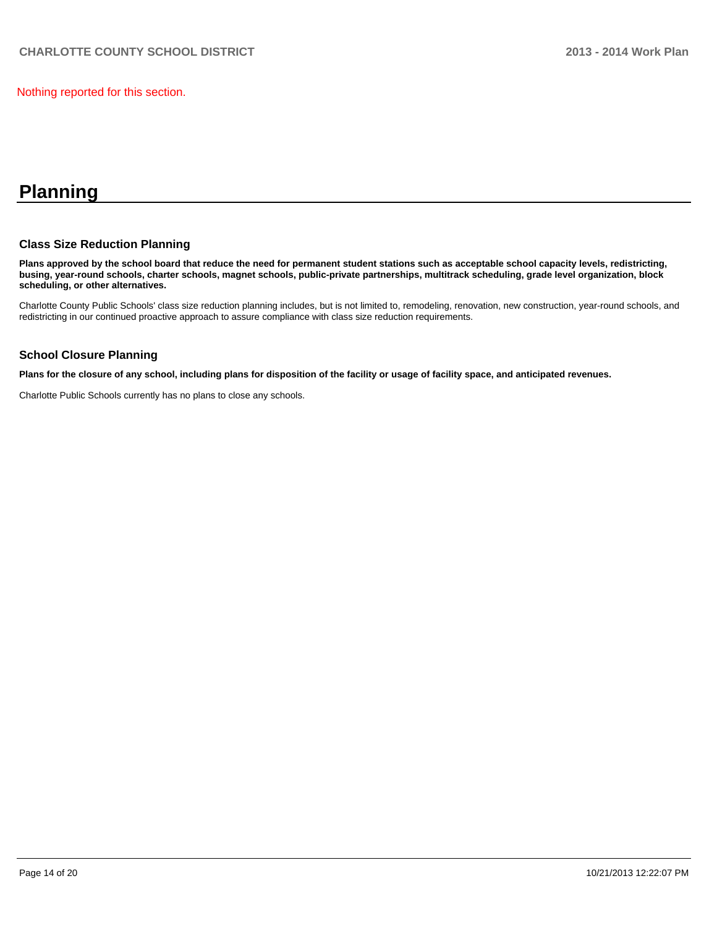Nothing reported for this section.

# **Planning**

#### **Class Size Reduction Planning**

**Plans approved by the school board that reduce the need for permanent student stations such as acceptable school capacity levels, redistricting, busing, year-round schools, charter schools, magnet schools, public-private partnerships, multitrack scheduling, grade level organization, block scheduling, or other alternatives.**

Charlotte County Public Schools' class size reduction planning includes, but is not limited to, remodeling, renovation, new construction, year-round schools, and redistricting in our continued proactive approach to assure compliance with class size reduction requirements.

#### **School Closure Planning**

**Plans for the closure of any school, including plans for disposition of the facility or usage of facility space, and anticipated revenues.**

Charlotte Public Schools currently has no plans to close any schools.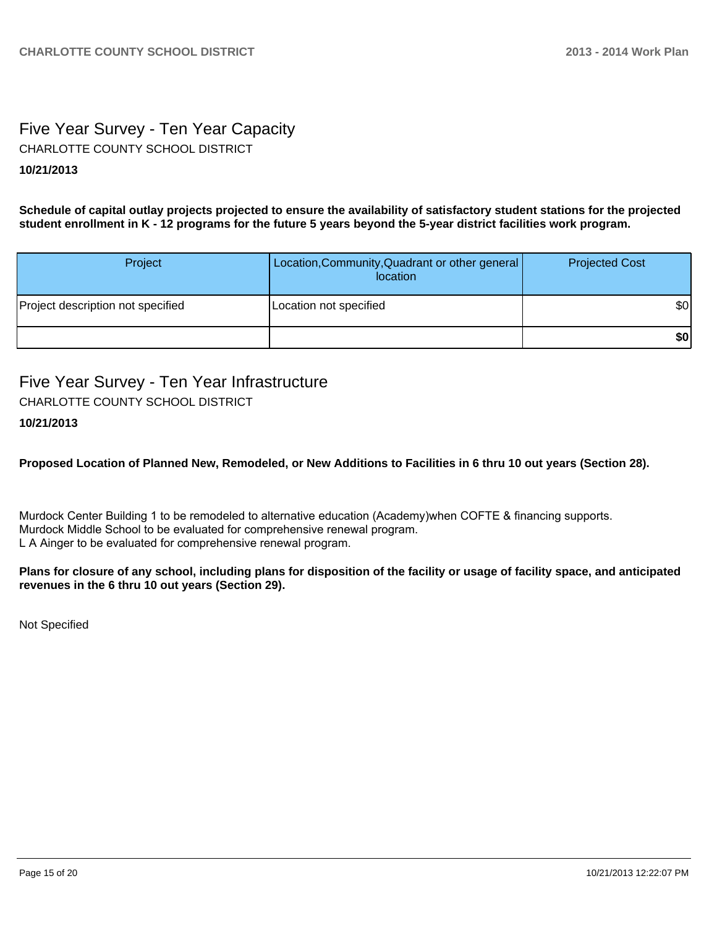# Five Year Survey - Ten Year Capacity CHARLOTTE COUNTY SCHOOL DISTRICT

## **10/21/2013**

**Schedule of capital outlay projects projected to ensure the availability of satisfactory student stations for the projected student enrollment in K - 12 programs for the future 5 years beyond the 5-year district facilities work program.**

| Project                           | Location, Community, Quadrant or other general<br>location | <b>Projected Cost</b> |
|-----------------------------------|------------------------------------------------------------|-----------------------|
| Project description not specified | Location not specified                                     | \$0                   |
|                                   |                                                            | \$0                   |

# Five Year Survey - Ten Year Infrastructure CHARLOTTE COUNTY SCHOOL DISTRICT

#### **10/21/2013**

**Proposed Location of Planned New, Remodeled, or New Additions to Facilities in 6 thru 10 out years (Section 28).**

Murdock Center Building 1 to be remodeled to alternative education (Academy)when COFTE & financing supports. Murdock Middle School to be evaluated for comprehensive renewal program. L A Ainger to be evaluated for comprehensive renewal program.

#### **Plans for closure of any school, including plans for disposition of the facility or usage of facility space, and anticipated revenues in the 6 thru 10 out years (Section 29).**

Not Specified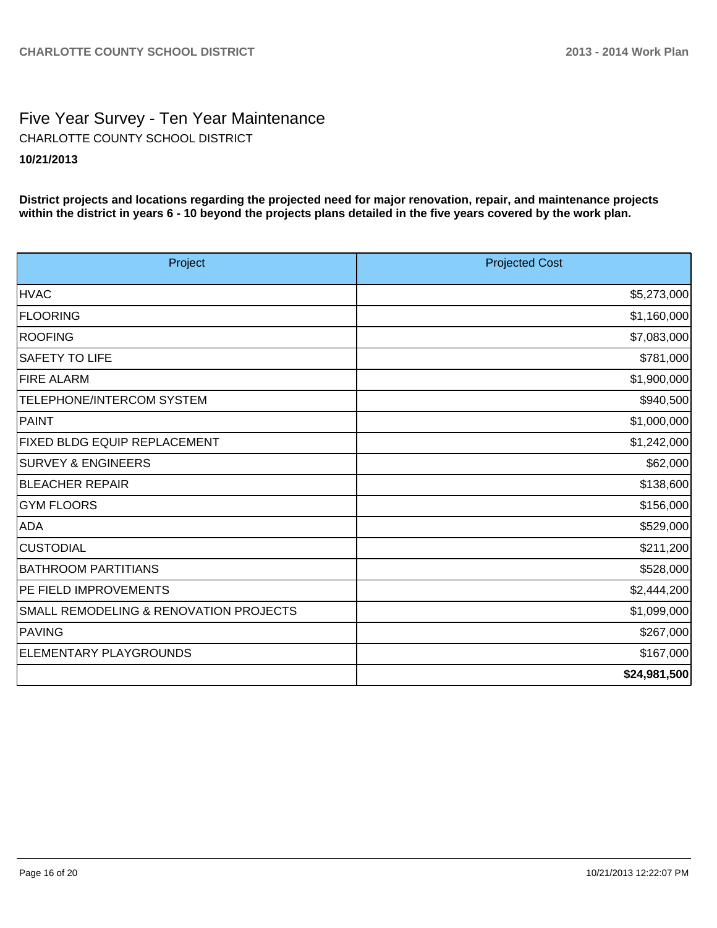# Five Year Survey - Ten Year Maintenance **10/21/2013** CHARLOTTE COUNTY SCHOOL DISTRICT

**District projects and locations regarding the projected need for major renovation, repair, and maintenance projects within the district in years 6 - 10 beyond the projects plans detailed in the five years covered by the work plan.**

| Project                                | <b>Projected Cost</b> |
|----------------------------------------|-----------------------|
| <b>HVAC</b>                            | \$5,273,000           |
| <b>FLOORING</b>                        | \$1,160,000           |
| ROOFING                                | \$7,083,000           |
| <b>SAFETY TO LIFE</b>                  | \$781,000             |
| <b>FIRE ALARM</b>                      | \$1,900,000           |
| TELEPHONE/INTERCOM SYSTEM              | \$940,500             |
| PAINT                                  | \$1,000,000           |
| <b>FIXED BLDG EQUIP REPLACEMENT</b>    | \$1,242,000           |
| <b>SURVEY &amp; ENGINEERS</b>          | \$62,000              |
| <b>BLEACHER REPAIR</b>                 | \$138,600             |
| <b>GYM FLOORS</b>                      | \$156,000             |
| ADA                                    | \$529,000             |
| <b>CUSTODIAL</b>                       | \$211,200             |
| <b>BATHROOM PARTITIANS</b>             | \$528,000             |
| PE FIELD IMPROVEMENTS                  | \$2,444,200           |
| SMALL REMODELING & RENOVATION PROJECTS | \$1,099,000           |
| PAVING                                 | \$267,000             |
| ELEMENTARY PLAYGROUNDS                 | \$167,000             |
|                                        | \$24,981,500          |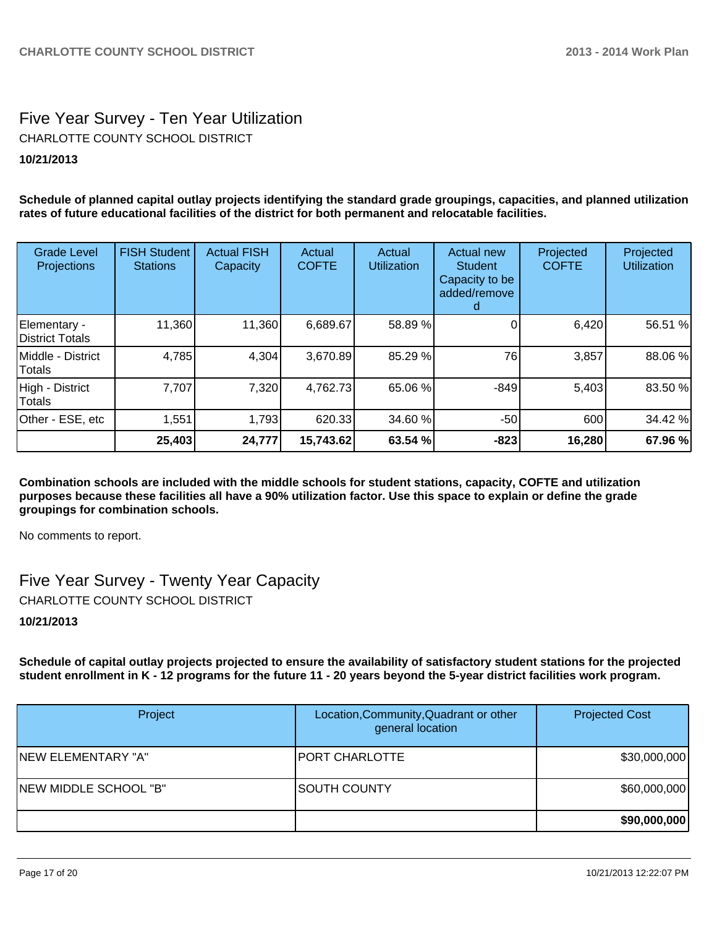# Five Year Survey - Ten Year Utilization **10/21/2013** CHARLOTTE COUNTY SCHOOL DISTRICT

**Schedule of planned capital outlay projects identifying the standard grade groupings, capacities, and planned utilization rates of future educational facilities of the district for both permanent and relocatable facilities.**

| <b>Grade Level</b><br>Projections | <b>FISH Student</b><br><b>Stations</b> | <b>Actual FISH</b><br>Capacity | Actual<br><b>COFTE</b> | Actual<br><b>Utilization</b> | Actual new<br><b>Student</b><br>Capacity to be<br>added/remove<br>d | Projected<br><b>COFTE</b> | Projected<br><b>Utilization</b> |
|-----------------------------------|----------------------------------------|--------------------------------|------------------------|------------------------------|---------------------------------------------------------------------|---------------------------|---------------------------------|
| Elementary -<br>District Totals   | 11,360                                 | 11,360                         | 6,689.67               | 58.89 %                      |                                                                     | 6,420                     | 56.51 %                         |
| IMiddle - District<br>Totals      | 4,785                                  | 4,304                          | 3,670.89               | 85.29 %                      | 76                                                                  | 3,857                     | 88.06 %                         |
| High - District<br>Totals         | 7,707                                  | 7,320                          | 4,762.73               | 65.06 %                      | $-849$                                                              | 5,403                     | 83.50 %                         |
| Other - ESE, etc                  | 1,551                                  | 1,793                          | 620.33                 | 34.60 %                      | $-50$                                                               | 600                       | 34.42 %                         |
|                                   | 25,403                                 | 24,777                         | 15,743.62              | 63.54 %                      | $-823$                                                              | 16,280                    | 67.96 %                         |

**Combination schools are included with the middle schools for student stations, capacity, COFTE and utilization purposes because these facilities all have a 90% utilization factor. Use this space to explain or define the grade groupings for combination schools.**

No comments to report.

Five Year Survey - Twenty Year Capacity CHARLOTTE COUNTY SCHOOL DISTRICT

#### **10/21/2013**

**Schedule of capital outlay projects projected to ensure the availability of satisfactory student stations for the projected student enrollment in K - 12 programs for the future 11 - 20 years beyond the 5-year district facilities work program.**

| Project               | Location, Community, Quadrant or other<br>general location | <b>Projected Cost</b> |
|-----------------------|------------------------------------------------------------|-----------------------|
| INEW ELEMENTARY "A"   | <b>PORT CHARLOTTE</b>                                      | \$30,000,000          |
| NEW MIDDLE SCHOOL "B" | ISOUTH COUNTY                                              | \$60,000,000          |
|                       |                                                            | \$90,000,000          |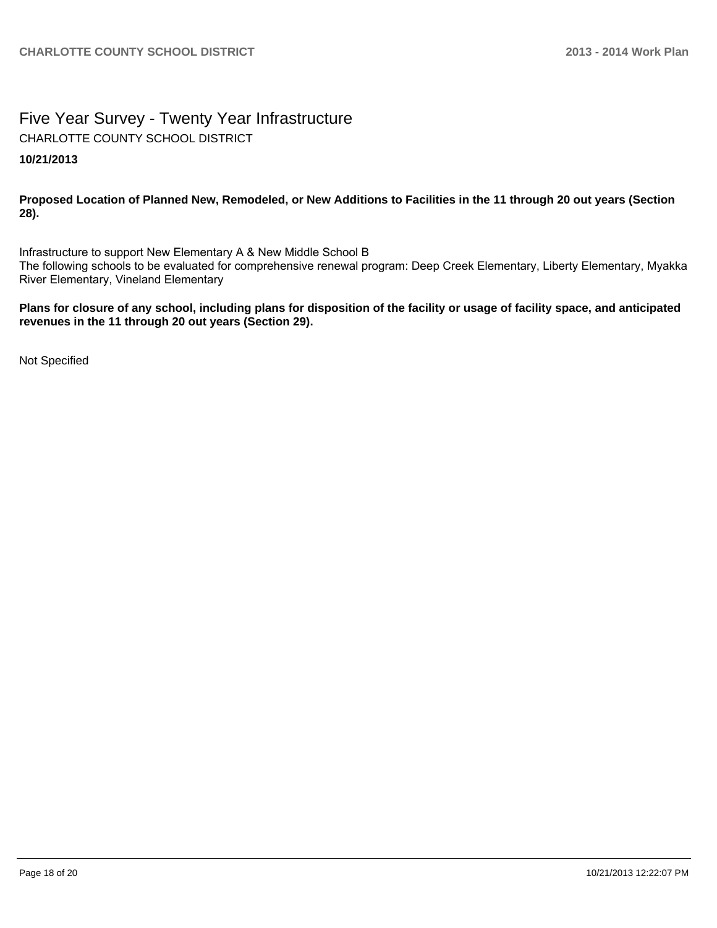# Five Year Survey - Twenty Year Infrastructure **10/21/2013** CHARLOTTE COUNTY SCHOOL DISTRICT

**Proposed Location of Planned New, Remodeled, or New Additions to Facilities in the 11 through 20 out years (Section 28).**

Infrastructure to support New Elementary A & New Middle School B The following schools to be evaluated for comprehensive renewal program: Deep Creek Elementary, Liberty Elementary, Myakka River Elementary, Vineland Elementary

**Plans for closure of any school, including plans for disposition of the facility or usage of facility space, and anticipated revenues in the 11 through 20 out years (Section 29).**

Not Specified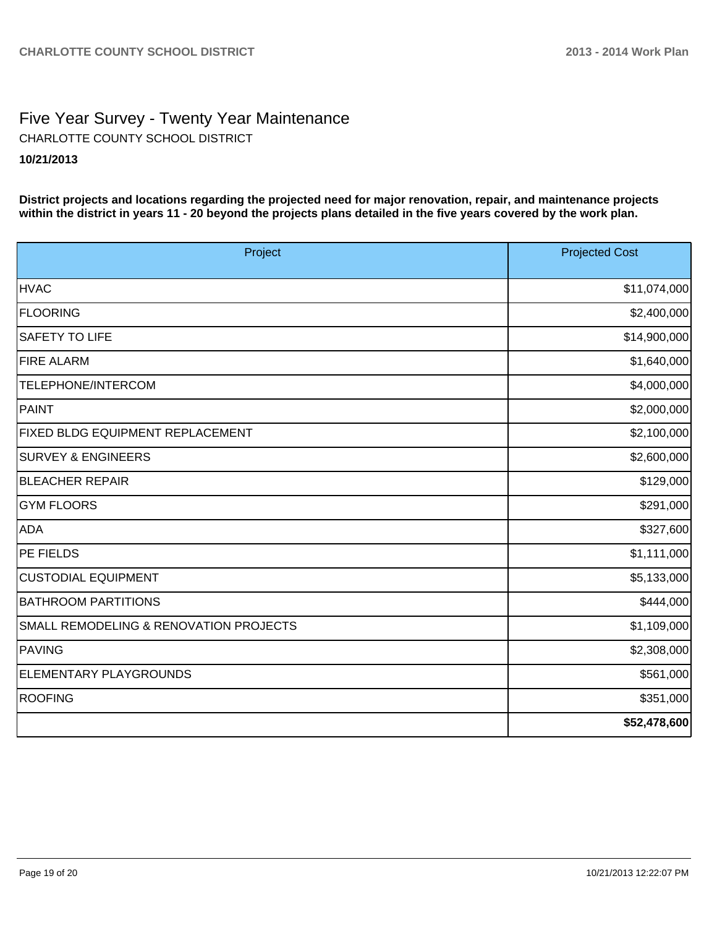# Five Year Survey - Twenty Year Maintenance **10/21/2013** CHARLOTTE COUNTY SCHOOL DISTRICT

**District projects and locations regarding the projected need for major renovation, repair, and maintenance projects within the district in years 11 - 20 beyond the projects plans detailed in the five years covered by the work plan.**

| Project                                           | <b>Projected Cost</b> |
|---------------------------------------------------|-----------------------|
| <b>HVAC</b>                                       | \$11,074,000          |
| <b>FLOORING</b>                                   | \$2,400,000           |
| <b>SAFETY TO LIFE</b>                             | \$14,900,000          |
| <b>FIRE ALARM</b>                                 | \$1,640,000           |
| TELEPHONE/INTERCOM                                | \$4,000,000           |
| PAINT                                             | \$2,000,000           |
| <b>FIXED BLDG EQUIPMENT REPLACEMENT</b>           | \$2,100,000           |
| <b>SURVEY &amp; ENGINEERS</b>                     | \$2,600,000           |
| <b>BLEACHER REPAIR</b>                            | \$129,000             |
| <b>GYM FLOORS</b>                                 | \$291,000             |
| ADA                                               | \$327,600             |
| <b>PE FIELDS</b>                                  | \$1,111,000           |
| <b>CUSTODIAL EQUIPMENT</b>                        | \$5,133,000           |
| <b>BATHROOM PARTITIONS</b>                        | \$444,000             |
| <b>SMALL REMODELING &amp; RENOVATION PROJECTS</b> | \$1,109,000           |
| PAVING                                            | \$2,308,000           |
| <b>ELEMENTARY PLAYGROUNDS</b>                     | \$561,000             |
| <b>ROOFING</b>                                    | \$351,000             |
|                                                   | \$52,478,600          |